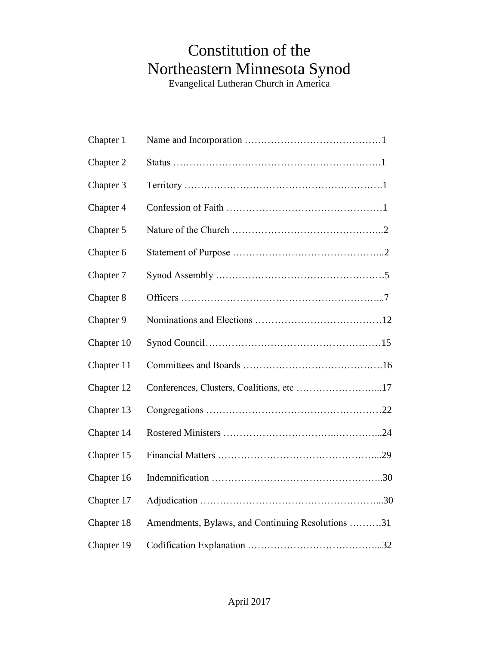# Constitution of the Northeastern Minnesota Synod

Evangelical Lutheran Church in America

| Chapter 1  |                                                   |
|------------|---------------------------------------------------|
| Chapter 2  |                                                   |
| Chapter 3  |                                                   |
| Chapter 4  |                                                   |
| Chapter 5  |                                                   |
| Chapter 6  |                                                   |
| Chapter 7  |                                                   |
| Chapter 8  |                                                   |
| Chapter 9  |                                                   |
| Chapter 10 |                                                   |
| Chapter 11 |                                                   |
| Chapter 12 | Conferences, Clusters, Coalitions, etc 17         |
| Chapter 13 |                                                   |
| Chapter 14 |                                                   |
| Chapter 15 |                                                   |
| Chapter 16 |                                                   |
| Chapter 17 |                                                   |
| Chapter 18 | Amendments, Bylaws, and Continuing Resolutions 31 |
| Chapter 19 |                                                   |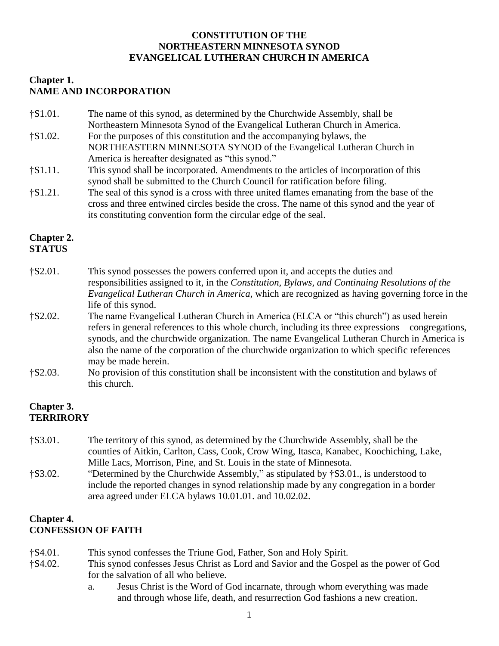#### **CONSTITUTION OF THE NORTHEASTERN MINNESOTA SYNOD EVANGELICAL LUTHERAN CHURCH IN AMERICA**

## **Chapter 1. NAME AND INCORPORATION**

- †S1.01. The name of this synod, as determined by the Churchwide Assembly, shall be Northeastern Minnesota Synod of the Evangelical Lutheran Church in America.
- †S1.02. For the purposes of this constitution and the accompanying bylaws, the NORTHEASTERN MINNESOTA SYNOD of the Evangelical Lutheran Church in America is hereafter designated as "this synod."
- †S1.11. This synod shall be incorporated. Amendments to the articles of incorporation of this synod shall be submitted to the Church Council for ratification before filing.
- †S1.21. The seal of this synod is a cross with three united flames emanating from the base of the cross and three entwined circles beside the cross. The name of this synod and the year of its constituting convention form the circular edge of the seal.

#### **Chapter 2. STATUS**

| †S2.01. | This synod possesses the powers conferred upon it, and accepts the duties and<br>responsibilities assigned to it, in the Constitution, Bylaws, and Continuing Resolutions of the                                                                                                                                                                                                                                    |
|---------|---------------------------------------------------------------------------------------------------------------------------------------------------------------------------------------------------------------------------------------------------------------------------------------------------------------------------------------------------------------------------------------------------------------------|
|         | Evangelical Lutheran Church in America, which are recognized as having governing force in the                                                                                                                                                                                                                                                                                                                       |
|         | life of this synod.                                                                                                                                                                                                                                                                                                                                                                                                 |
| †S2.02. | The name Evangelical Lutheran Church in America (ELCA or "this church") as used herein<br>refers in general references to this whole church, including its three expressions – congregations,<br>synods, and the churchwide organization. The name Evangelical Lutheran Church in America is<br>also the name of the corporation of the churchwide organization to which specific references<br>may be made herein. |
| †S2.03. |                                                                                                                                                                                                                                                                                                                                                                                                                     |
|         | No provision of this constitution shall be inconsistent with the constitution and bylaws of<br>this church.                                                                                                                                                                                                                                                                                                         |

## **Chapter 3. TERRIRORY**

- †S3.01. The territory of this synod, as determined by the Churchwide Assembly, shall be the counties of Aitkin, Carlton, Cass, Cook, Crow Wing, Itasca, Kanabec, Koochiching, Lake, Mille Lacs, Morrison, Pine, and St. Louis in the state of Minnesota.
- †S3.02. "Determined by the Churchwide Assembly," as stipulated by †S3.01., is understood to include the reported changes in synod relationship made by any congregation in a border area agreed under ELCA bylaws 10.01.01. and 10.02.02.

## **Chapter 4. CONFESSION OF FAITH**

- †S4.01. This synod confesses the Triune God, Father, Son and Holy Spirit.
- †S4.02. This synod confesses Jesus Christ as Lord and Savior and the Gospel as the power of God for the salvation of all who believe.
	- a. Jesus Christ is the Word of God incarnate, through whom everything was made and through whose life, death, and resurrection God fashions a new creation.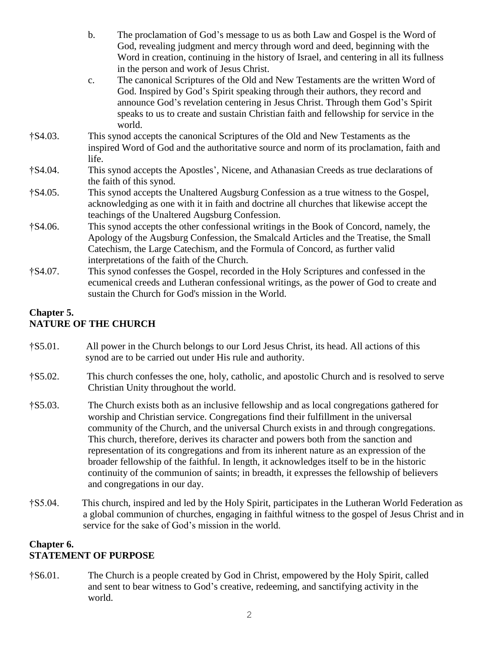|                       | The proclamation of God's message to us as both Law and Gospel is the Word of<br>$\mathbf b$ .<br>God, revealing judgment and mercy through word and deed, beginning with the                                                                                                                                  |
|-----------------------|----------------------------------------------------------------------------------------------------------------------------------------------------------------------------------------------------------------------------------------------------------------------------------------------------------------|
|                       | Word in creation, continuing in the history of Israel, and centering in all its fullness<br>in the person and work of Jesus Christ.                                                                                                                                                                            |
|                       | The canonical Scriptures of the Old and New Testaments are the written Word of<br>c.                                                                                                                                                                                                                           |
|                       | God. Inspired by God's Spirit speaking through their authors, they record and<br>announce God's revelation centering in Jesus Christ. Through them God's Spirit<br>speaks to us to create and sustain Christian faith and fellowship for service in the<br>world.                                              |
| $\dagger$ S4.03.      | This synod accepts the canonical Scriptures of the Old and New Testaments as the<br>inspired Word of God and the authoritative source and norm of its proclamation, faith and                                                                                                                                  |
|                       | life.                                                                                                                                                                                                                                                                                                          |
| †S4.04.               | This synod accepts the Apostles', Nicene, and Athanasian Creeds as true declarations of<br>the faith of this synod.                                                                                                                                                                                            |
| $\dagger$ S4.05.      | This synod accepts the Unaltered Augsburg Confession as a true witness to the Gospel,<br>acknowledging as one with it in faith and doctrine all churches that likewise accept the<br>teachings of the Unaltered Augsburg Confession.                                                                           |
| $\dagger$ S4.06.      | This synod accepts the other confessional writings in the Book of Concord, namely, the<br>Apology of the Augsburg Confession, the Smalcald Articles and the Treatise, the Small<br>Catechism, the Large Catechism, and the Formula of Concord, as further valid<br>interpretations of the faith of the Church. |
| <b><i>†S4.07.</i></b> | This synod confesses the Gospel, recorded in the Holy Scriptures and confessed in the<br>ecumenical creeds and Lutheran confessional writings, as the power of God to create and<br>sustain the Church for God's mission in the World.                                                                         |

#### **Chapter 5. NATURE OF THE CHURCH**

- †S5.01. All power in the Church belongs to our Lord Jesus Christ, its head. All actions of this synod are to be carried out under His rule and authority.
- †S5.02. This church confesses the one, holy, catholic, and apostolic Church and is resolved to serve Christian Unity throughout the world.
- †S5.03. The Church exists both as an inclusive fellowship and as local congregations gathered for worship and Christian service. Congregations find their fulfillment in the universal community of the Church, and the universal Church exists in and through congregations. This church, therefore, derives its character and powers both from the sanction and representation of its congregations and from its inherent nature as an expression of the broader fellowship of the faithful. In length, it acknowledges itself to be in the historic continuity of the communion of saints; in breadth, it expresses the fellowship of believers and congregations in our day.
- †S5.04. This church, inspired and led by the Holy Spirit, participates in the Lutheran World Federation as a global communion of churches, engaging in faithful witness to the gospel of Jesus Christ and in service for the sake of God's mission in the world.

## **Chapter 6. STATEMENT OF PURPOSE**

†S6.01. The Church is a people created by God in Christ, empowered by the Holy Spirit, called and sent to bear witness to God's creative, redeeming, and sanctifying activity in the world.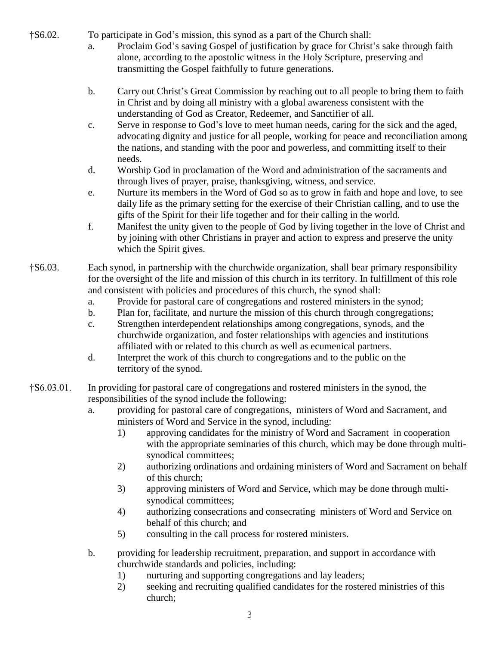†S6.02. To participate in God's mission, this synod as a part of the Church shall:

- a. Proclaim God's saving Gospel of justification by grace for Christ's sake through faith alone, according to the apostolic witness in the Holy Scripture, preserving and transmitting the Gospel faithfully to future generations.
- b. Carry out Christ's Great Commission by reaching out to all people to bring them to faith in Christ and by doing all ministry with a global awareness consistent with the understanding of God as Creator, Redeemer, and Sanctifier of all.
- c. Serve in response to God's love to meet human needs, caring for the sick and the aged, advocating dignity and justice for all people, working for peace and reconciliation among the nations, and standing with the poor and powerless, and committing itself to their needs.
- d. Worship God in proclamation of the Word and administration of the sacraments and through lives of prayer, praise, thanksgiving, witness, and service.
- e. Nurture its members in the Word of God so as to grow in faith and hope and love, to see daily life as the primary setting for the exercise of their Christian calling, and to use the gifts of the Spirit for their life together and for their calling in the world.
- f. Manifest the unity given to the people of God by living together in the love of Christ and by joining with other Christians in prayer and action to express and preserve the unity which the Spirit gives.
- †S6.03. Each synod, in partnership with the churchwide organization, shall bear primary responsibility for the oversight of the life and mission of this church in its territory. In fulfillment of this role and consistent with policies and procedures of this church, the synod shall:
	- a. Provide for pastoral care of congregations and rostered ministers in the synod;
	- b. Plan for, facilitate, and nurture the mission of this church through congregations;
	- c. Strengthen interdependent relationships among congregations, synods, and the churchwide organization, and foster relationships with agencies and institutions affiliated with or related to this church as well as ecumenical partners.
	- d. Interpret the work of this church to congregations and to the public on the territory of the synod.
- †S6.03.01. In providing for pastoral care of congregations and rostered ministers in the synod, the responsibilities of the synod include the following:
	- a. providing for pastoral care of congregations, ministers of Word and Sacrament, and ministers of Word and Service in the synod, including:
		- 1) approving candidates for the ministry of Word and Sacrament in cooperation with the appropriate seminaries of this church, which may be done through multisynodical committees;
		- 2) authorizing ordinations and ordaining ministers of Word and Sacrament on behalf of this church;
		- 3) approving ministers of Word and Service, which may be done through multi synodical committees;
		- 4) authorizing consecrations and consecrating ministers of Word and Service on behalf of this church; and
		- 5) consulting in the call process for rostered ministers.
	- b. providing for leadership recruitment, preparation, and support in accordance with churchwide standards and policies, including:
		- 1) nurturing and supporting congregations and lay leaders;
		- 2) seeking and recruiting qualified candidates for the rostered ministries of this church;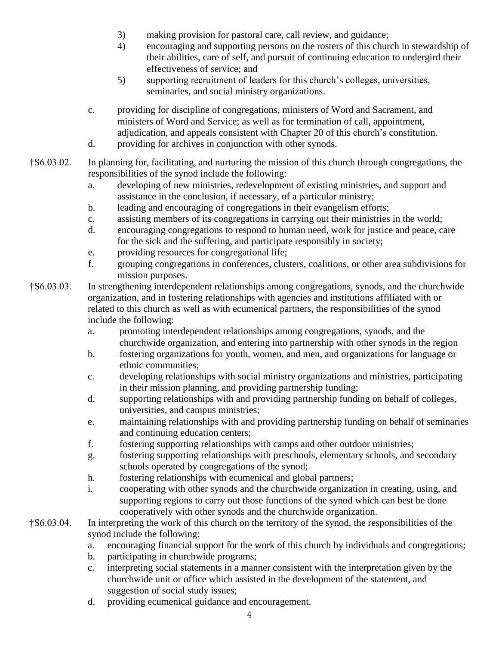- 3) making provision for pastoral care, call review, and guidance;
- 4) encouraging and supporting persons on the rosters of this church in stewardship of their abilities, care of self, and pursuit of continuing education to undergird their effectiveness of service; and
- 5) supporting recruitment of leaders for this church's colleges, universities, seminaries, and social ministry organizations.
- c. providing for discipline of congregations, ministers of Word and Sacrament, and ministers of Word and Service; as well as for termination of call, appointment, adjudication, and appeals consistent with Chapter 20 of this church's constitution.
- d. providing for archives in conjunction with other synods.
- †S6.03.02. In planning for, facilitating, and nurturing the mission of this church through congregations, the responsibilities of the synod include the following:
	- a. developing of new ministries, redevelopment of existing ministries, and support and assistance in the conclusion, if necessary, of a particular ministry;
	- b. leading and encouraging of congregations in their evangelism efforts;
	- c. assisting members of its congregations in carrying out their ministries in the world;
	- d. encouraging congregations to respond to human need, work for justice and peace, care for the sick and the suffering, and participate responsibly in society;
	- e. providing resources for congregational life;
	- f. grouping congregations in conferences, clusters, coalitions, or other area subdivisions for mission purposes.
- †S6.03.03. In strengthening interdependent relationships among congregations, synods, and the churchwide organization, and in fostering relationships with agencies and institutions affiliated with or related to this church as well as with ecumenical partners, the responsibilities of the synod include the following:
	- a. promoting interdependent relationships among congregations, synods, and the churchwide organization, and entering into partnership with other synods in the region
	- b. fostering organizations for youth, women, and men, and organizations for language or ethnic communities;
	- c. developing relationships with social ministry organizations and ministries, participating in their mission planning, and providing partnership funding;
	- d. supporting relationships with and providing partnership funding on behalf of colleges, universities, and campus ministries;
	- e. maintaining relationships with and providing partnership funding on behalf of seminaries and continuing education centers;
	- f. fostering supporting relationships with camps and other outdoor ministries;
	- g. fostering supporting relationships with preschools, elementary schools, and secondary schools operated by congregations of the synod;
	- h. fostering relationships with ecumenical and global partners;
	- i. cooperating with other synods and the churchwide organization in creating, using, and supporting regions to carry out those functions of the synod which can best be done cooperatively with other synods and the churchwide organization.
- †S6.03.04. In interpreting the work of this church on the territory of the synod, the responsibilities of the synod include the following:
	- a. encouraging financial support for the work of this church by individuals and congregations;
	- b. participating in churchwide programs;
	- c. interpreting social statements in a manner consistent with the interpretation given by the churchwide unit or office which assisted in the development of the statement, and suggestion of social study issues;
	- d. providing ecumenical guidance and encouragement.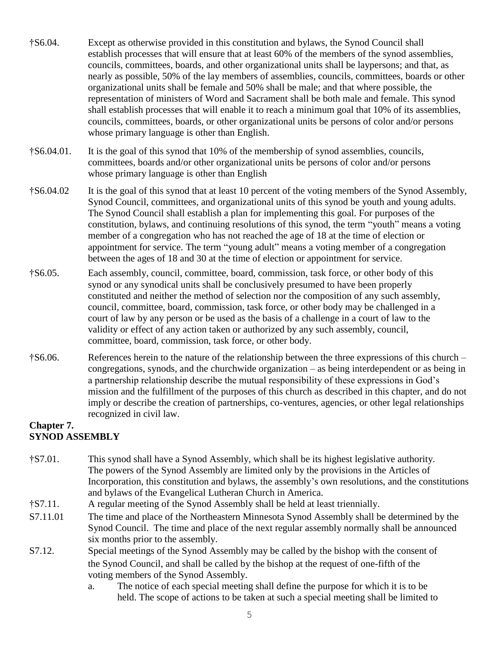- †S6.04. Except as otherwise provided in this constitution and bylaws, the Synod Council shall establish processes that will ensure that at least 60% of the members of the synod assemblies, councils, committees, boards, and other organizational units shall be laypersons; and that, as nearly as possible, 50% of the lay members of assemblies, councils, committees, boards or other organizational units shall be female and 50% shall be male; and that where possible, the representation of ministers of Word and Sacrament shall be both male and female. This synod shall establish processes that will enable it to reach a minimum goal that 10% of its assemblies, councils, committees, boards, or other organizational units be persons of color and/or persons whose primary language is other than English.
- †S6.04.01. It is the goal of this synod that 10% of the membership of synod assemblies, councils, committees, boards and/or other organizational units be persons of color and/or persons whose primary language is other than English
- †S6.04.02 It is the goal of this synod that at least 10 percent of the voting members of the Synod Assembly, Synod Council, committees, and organizational units of this synod be youth and young adults. The Synod Council shall establish a plan for implementing this goal. For purposes of the constitution, bylaws, and continuing resolutions of this synod, the term "youth" means a voting member of a congregation who has not reached the age of 18 at the time of election or appointment for service. The term "young adult" means a voting member of a congregation between the ages of 18 and 30 at the time of election or appointment for service.
- †S6.05. Each assembly, council, committee, board, commission, task force, or other body of this synod or any synodical units shall be conclusively presumed to have been properly constituted and neither the method of selection nor the composition of any such assembly, council, committee, board, commission, task force, or other body may be challenged in a court of law by any person or be used as the basis of a challenge in a court of law to the validity or effect of any action taken or authorized by any such assembly, council, committee, board, commission, task force, or other body.
- †S6.06. References herein to the nature of the relationship between the three expressions of this church congregations, synods, and the churchwide organization – as being interdependent or as being in a partnership relationship describe the mutual responsibility of these expressions in God's mission and the fulfillment of the purposes of this church as described in this chapter, and do not imply or describe the creation of partnerships, co-ventures, agencies, or other legal relationships recognized in civil law.

#### **Chapter 7. SYNOD ASSEMBLY**

- †S7.01. This synod shall have a Synod Assembly, which shall be its highest legislative authority. The powers of the Synod Assembly are limited only by the provisions in the Articles of Incorporation, this constitution and bylaws, the assembly's own resolutions, and the constitutions and bylaws of the Evangelical Lutheran Church in America.
- †S7.11. A regular meeting of the Synod Assembly shall be held at least triennially.
- S7.11.01 The time and place of the Northeastern Minnesota Synod Assembly shall be determined by the Synod Council. The time and place of the next regular assembly normally shall be announced six months prior to the assembly.
- S7.12. Special meetings of the Synod Assembly may be called by the bishop with the consent of the Synod Council, and shall be called by the bishop at the request of one-fifth of the voting members of the Synod Assembly.
	- a. The notice of each special meeting shall define the purpose for which it is to be held. The scope of actions to be taken at such a special meeting shall be limited to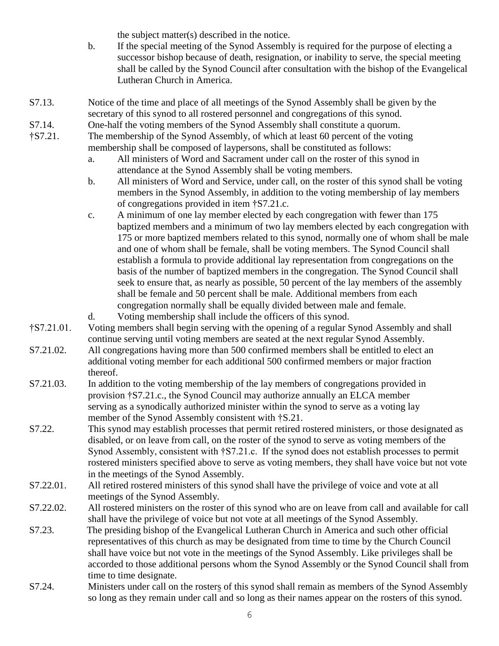the subject matter(s) described in the notice.

- b. If the special meeting of the Synod Assembly is required for the purpose of electing a successor bishop because of death, resignation, or inability to serve, the special meeting shall be called by the Synod Council after consultation with the bishop of the Evangelical Lutheran Church in America.
- S7.13. Notice of the time and place of all meetings of the Synod Assembly shall be given by the secretary of this synod to all rostered personnel and congregations of this synod.
- S7.14. One-half the voting members of the Synod Assembly shall constitute a quorum.
- †S7.21. The membership of the Synod Assembly, of which at least 60 percent of the voting membership shall be composed of laypersons, shall be constituted as follows:
	- a. All ministers of Word and Sacrament under call on the roster of this synod in attendance at the Synod Assembly shall be voting members.
	- b. All ministers of Word and Service, under call, on the roster of this synod shall be voting members in the Synod Assembly, in addition to the voting membership of lay members of congregations provided in item †S7.21.c.
	- c. A minimum of one lay member elected by each congregation with fewer than 175 baptized members and a minimum of two lay members elected by each congregation with 175 or more baptized members related to this synod, normally one of whom shall be male and one of whom shall be female, shall be voting members. The Synod Council shall establish a formula to provide additional lay representation from congregations on the basis of the number of baptized members in the congregation. The Synod Council shall seek to ensure that, as nearly as possible, 50 percent of the lay members of the assembly shall be female and 50 percent shall be male. Additional members from each congregation normally shall be equally divided between male and female.
	- d. Voting membership shall include the officers of this synod.
- †S7.21.01. Voting members shall begin serving with the opening of a regular Synod Assembly and shall continue serving until voting members are seated at the next regular Synod Assembly.
- S7.21.02. All congregations having more than 500 confirmed members shall be entitled to elect an additional voting member for each additional 500 confirmed members or major fraction thereof.
- S7.21.03. In addition to the voting membership of the lay members of congregations provided in provision †S7.21.c., the Synod Council may authorize annually an ELCA member serving as a synodically authorized minister within the synod to serve as a voting lay member of the Synod Assembly consistent with †S.21.
- S7.22. This synod may establish processes that permit retired rostered ministers, or those designated as disabled, or on leave from call, on the roster of the synod to serve as voting members of the Synod Assembly, consistent with †S7.21.c. If the synod does not establish processes to permit rostered ministers specified above to serve as voting members, they shall have voice but not vote in the meetings of the Synod Assembly.
- S7.22.01. All retired rostered ministers of this synod shall have the privilege of voice and vote at all meetings of the Synod Assembly.
- S7.22.02. All rostered ministers on the roster of this synod who are on leave from call and available for call shall have the privilege of voice but not vote at all meetings of the Synod Assembly.
- S7.23. The presiding bishop of the Evangelical Lutheran Church in America and such other official representatives of this church as may be designated from time to time by the Church Council shall have voice but not vote in the meetings of the Synod Assembly. Like privileges shall be accorded to those additional persons whom the Synod Assembly or the Synod Council shall from time to time designate.
- S7.24. Ministers under call on the rosters of this synod shall remain as members of the Synod Assembly so long as they remain under call and so long as their names appear on the rosters of this synod.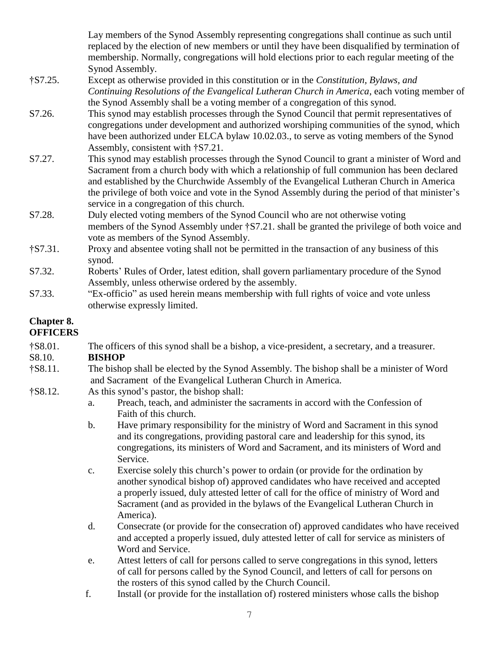Lay members of the Synod Assembly representing congregations shall continue as such until replaced by the election of new members or until they have been disqualified by termination of membership. Normally, congregations will hold elections prior to each regular meeting of the Synod Assembly.

- †S7.25. Except as otherwise provided in this constitution or in the *Constitution, Bylaws, and Continuing Resolutions of the Evangelical Lutheran Church in America*, each voting member of the Synod Assembly shall be a voting member of a congregation of this synod.
- S7.26. This synod may establish processes through the Synod Council that permit representatives of congregations under development and authorized worshiping communities of the synod, which have been authorized under ELCA bylaw 10.02.03., to serve as voting members of the Synod Assembly, consistent with †S7.21.
- S7.27. This synod may establish processes through the Synod Council to grant a minister of Word and Sacrament from a church body with which a relationship of full communion has been declared and established by the Churchwide Assembly of the Evangelical Lutheran Church in America the privilege of both voice and vote in the Synod Assembly during the period of that minister's service in a congregation of this church.
- S7.28. Duly elected voting members of the Synod Council who are not otherwise voting members of the Synod Assembly under †S7.21. shall be granted the privilege of both voice and vote as members of the Synod Assembly.
- †S7.31. Proxy and absentee voting shall not be permitted in the transaction of any business of this synod.
- S7.32. Roberts' Rules of Order, latest edition, shall govern parliamentary procedure of the Synod Assembly, unless otherwise ordered by the assembly.
- S7.33. "Ex-officio" as used herein means membership with full rights of voice and vote unless otherwise expressly limited.

#### **Chapter 8. OFFICERS**

†S8.01. The officers of this synod shall be a bishop, a vice-president, a secretary, and a treasurer.

## S8.10. **BISHOP**

- †S8.11. The bishop shall be elected by the Synod Assembly. The bishop shall be a minister of Word and Sacrament of the Evangelical Lutheran Church in America.
- †S8.12. As this synod's pastor, the bishop shall:
	- a. Preach, teach, and administer the sacraments in accord with the Confession of Faith of this church.
	- b. Have primary responsibility for the ministry of Word and Sacrament in this synod and its congregations, providing pastoral care and leadership for this synod, its congregations, its ministers of Word and Sacrament, and its ministers of Word and Service.
	- c. Exercise solely this church's power to ordain (or provide for the ordination by another synodical bishop of) approved candidates who have received and accepted a properly issued, duly attested letter of call for the office of ministry of Word and Sacrament (and as provided in the bylaws of the Evangelical Lutheran Church in America).
	- d. Consecrate (or provide for the consecration of) approved candidates who have received and accepted a properly issued, duly attested letter of call for service as ministers of Word and Service.
	- e. Attest letters of call for persons called to serve congregations in this synod, letters of call for persons called by the Synod Council, and letters of call for persons on the rosters of this synod called by the Church Council.
	- f. Install (or provide for the installation of) rostered ministers whose calls the bishop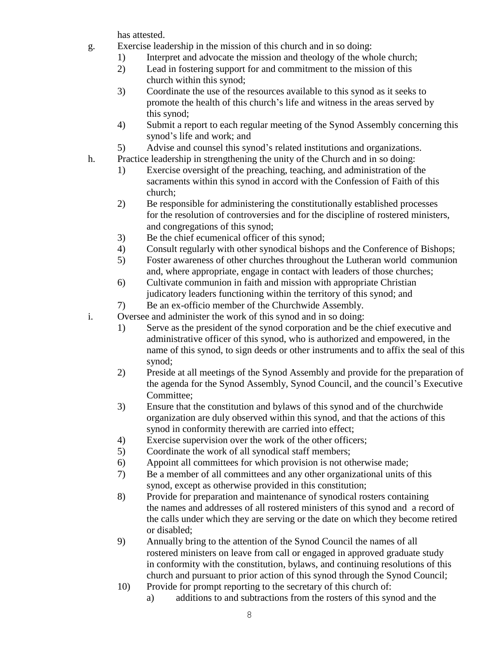has attested.

- g. Exercise leadership in the mission of this church and in so doing:
	- 1) Interpret and advocate the mission and theology of the whole church;
	- 2) Lead in fostering support for and commitment to the mission of this church within this synod;
	- 3) Coordinate the use of the resources available to this synod as it seeks to promote the health of this church's life and witness in the areas served by this synod;
	- 4) Submit a report to each regular meeting of the Synod Assembly concerning this synod's life and work; and
	- 5) Advise and counsel this synod's related institutions and organizations.
- h. Practice leadership in strengthening the unity of the Church and in so doing:
	- 1) Exercise oversight of the preaching, teaching, and administration of the sacraments within this synod in accord with the Confession of Faith of this church;
	- 2) Be responsible for administering the constitutionally established processes for the resolution of controversies and for the discipline of rostered ministers, and congregations of this synod;
	- 3) Be the chief ecumenical officer of this synod;
	- 4) Consult regularly with other synodical bishops and the Conference of Bishops;
	- 5) Foster awareness of other churches throughout the Lutheran world communion and, where appropriate, engage in contact with leaders of those churches;
	- 6) Cultivate communion in faith and mission with appropriate Christian judicatory leaders functioning within the territory of this synod; and
	- 7) Be an ex-officio member of the Churchwide Assembly.
- i. Oversee and administer the work of this synod and in so doing:
	- 1) Serve as the president of the synod corporation and be the chief executive and administrative officer of this synod, who is authorized and empowered, in the name of this synod, to sign deeds or other instruments and to affix the seal of this synod;
	- 2) Preside at all meetings of the Synod Assembly and provide for the preparation of the agenda for the Synod Assembly, Synod Council, and the council's Executive Committee;
	- 3) Ensure that the constitution and bylaws of this synod and of the churchwide organization are duly observed within this synod, and that the actions of this synod in conformity therewith are carried into effect;
	- 4) Exercise supervision over the work of the other officers;
	- 5) Coordinate the work of all synodical staff members;
	- 6) Appoint all committees for which provision is not otherwise made;
	- 7) Be a member of all committees and any other organizational units of this synod, except as otherwise provided in this constitution;
	- 8) Provide for preparation and maintenance of synodical rosters containing the names and addresses of all rostered ministers of this synod and a record of the calls under which they are serving or the date on which they become retired or disabled;
	- 9) Annually bring to the attention of the Synod Council the names of all rostered ministers on leave from call or engaged in approved graduate study in conformity with the constitution, bylaws, and continuing resolutions of this church and pursuant to prior action of this synod through the Synod Council;
	- 10) Provide for prompt reporting to the secretary of this church of:
		- a) additions to and subtractions from the rosters of this synod and the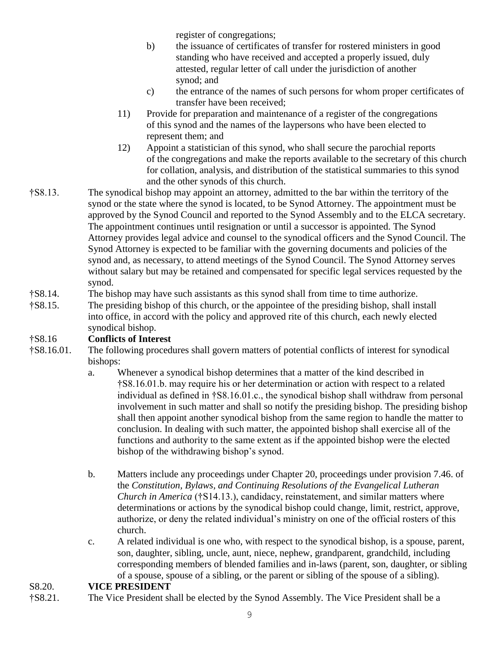register of congregations;

- b) the issuance of certificates of transfer for rostered ministers in good standing who have received and accepted a properly issued, duly attested, regular letter of call under the jurisdiction of another synod; and
- c) the entrance of the names of such persons for whom proper certificates of transfer have been received;
- 11) Provide for preparation and maintenance of a register of the congregations of this synod and the names of the laypersons who have been elected to represent them; and
- 12) Appoint a statistician of this synod, who shall secure the parochial reports of the congregations and make the reports available to the secretary of this church for collation, analysis, and distribution of the statistical summaries to this synod and the other synods of this church.
- †S8.13. The synodical bishop may appoint an attorney, admitted to the bar within the territory of the synod or the state where the synod is located, to be Synod Attorney. The appointment must be approved by the Synod Council and reported to the Synod Assembly and to the ELCA secretary. The appointment continues until resignation or until a successor is appointed. The Synod Attorney provides legal advice and counsel to the synodical officers and the Synod Council. The Synod Attorney is expected to be familiar with the governing documents and policies of the synod and, as necessary, to attend meetings of the Synod Council. The Synod Attorney serves without salary but may be retained and compensated for specific legal services requested by the synod.
- †S8.14. The bishop may have such assistants as this synod shall from time to time authorize.
- †S8.15. The presiding bishop of this church, or the appointee of the presiding bishop, shall install into office, in accord with the policy and approved rite of this church, each newly elected synodical bishop.

# †S8.16 **Conflicts of Interest**

- †S8.16.01. The following procedures shall govern matters of potential conflicts of interest for synodical bishops:
	- a. Whenever a synodical bishop determines that a matter of the kind described in †S8.16.01.b. may require his or her determination or action with respect to a related individual as defined in †S8.16.01.c., the synodical bishop shall withdraw from personal involvement in such matter and shall so notify the presiding bishop. The presiding bishop shall then appoint another synodical bishop from the same region to handle the matter to conclusion. In dealing with such matter, the appointed bishop shall exercise all of the functions and authority to the same extent as if the appointed bishop were the elected bishop of the withdrawing bishop's synod.
	- b. Matters include any proceedings under Chapter 20, proceedings under provision 7.46. of the *Constitution, Bylaws, and Continuing Resolutions of the Evangelical Lutheran Church in America* (†S14.13.), candidacy, reinstatement, and similar matters where determinations or actions by the synodical bishop could change, limit, restrict, approve, authorize, or deny the related individual's ministry on one of the official rosters of this church.
	- c. A related individual is one who, with respect to the synodical bishop, is a spouse, parent, son, daughter, sibling, uncle, aunt, niece, nephew, grandparent, grandchild, including corresponding members of blended families and in-laws (parent, son, daughter, or sibling of a spouse, spouse of a sibling, or the parent or sibling of the spouse of a sibling).

## S8.20. **VICE PRESIDENT**

†S8.21. The Vice President shall be elected by the Synod Assembly. The Vice President shall be a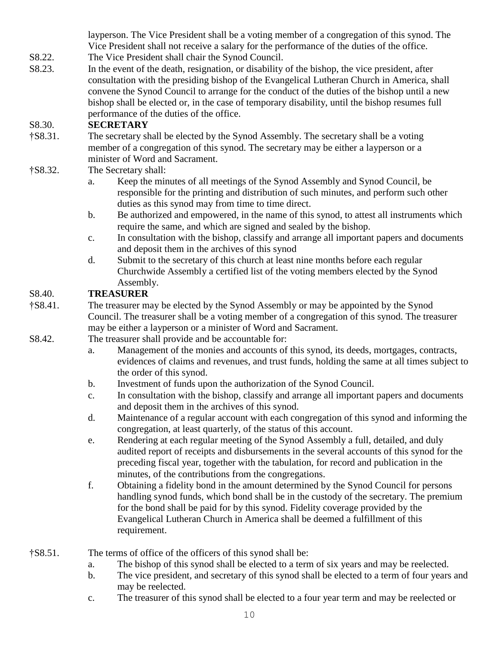layperson. The Vice President shall be a voting member of a congregation of this synod. The Vice President shall not receive a salary for the performance of the duties of the office.

- S8.22. The Vice President shall chair the Synod Council.
- S8.23. In the event of the death, resignation, or disability of the bishop, the vice president, after consultation with the presiding bishop of the Evangelical Lutheran Church in America, shall convene the Synod Council to arrange for the conduct of the duties of the bishop until a new bishop shall be elected or, in the case of temporary disability, until the bishop resumes full performance of the duties of the office.

## S8.30. **SECRETARY**

- †S8.31. The secretary shall be elected by the Synod Assembly. The secretary shall be a voting member of a congregation of this synod. The secretary may be either a layperson or a minister of Word and Sacrament.
- †S8.32. The Secretary shall:
	- a. Keep the minutes of all meetings of the Synod Assembly and Synod Council, be responsible for the printing and distribution of such minutes, and perform such other duties as this synod may from time to time direct.
	- b. Be authorized and empowered, in the name of this synod, to attest all instruments which require the same, and which are signed and sealed by the bishop.
	- c. In consultation with the bishop, classify and arrange all important papers and documents and deposit them in the archives of this synod
	- d. Submit to the secretary of this church at least nine months before each regular Churchwide Assembly a certified list of the voting members elected by the Synod Assembly.

#### S8.40. **TREASURER**

- †S8.41. The treasurer may be elected by the Synod Assembly or may be appointed by the Synod Council. The treasurer shall be a voting member of a congregation of this synod. The treasurer may be either a layperson or a minister of Word and Sacrament.
- S8.42. The treasurer shall provide and be accountable for:
	- a. Management of the monies and accounts of this synod, its deeds, mortgages, contracts, evidences of claims and revenues, and trust funds, holding the same at all times subject to the order of this synod.
	- b. Investment of funds upon the authorization of the Synod Council.
	- c. In consultation with the bishop, classify and arrange all important papers and documents and deposit them in the archives of this synod.
	- d. Maintenance of a regular account with each congregation of this synod and informing the congregation, at least quarterly, of the status of this account.
	- e. Rendering at each regular meeting of the Synod Assembly a full, detailed, and duly audited report of receipts and disbursements in the several accounts of this synod for the preceding fiscal year, together with the tabulation, for record and publication in the minutes, of the contributions from the congregations.
	- f. Obtaining a fidelity bond in the amount determined by the Synod Council for persons handling synod funds, which bond shall be in the custody of the secretary. The premium for the bond shall be paid for by this synod. Fidelity coverage provided by the Evangelical Lutheran Church in America shall be deemed a fulfillment of this requirement.
- †S8.51. The terms of office of the officers of this synod shall be:
	- a. The bishop of this synod shall be elected to a term of six years and may be reelected.
	- b. The vice president, and secretary of this synod shall be elected to a term of four years and may be reelected.
	- c. The treasurer of this synod shall be elected to a four year term and may be reelected or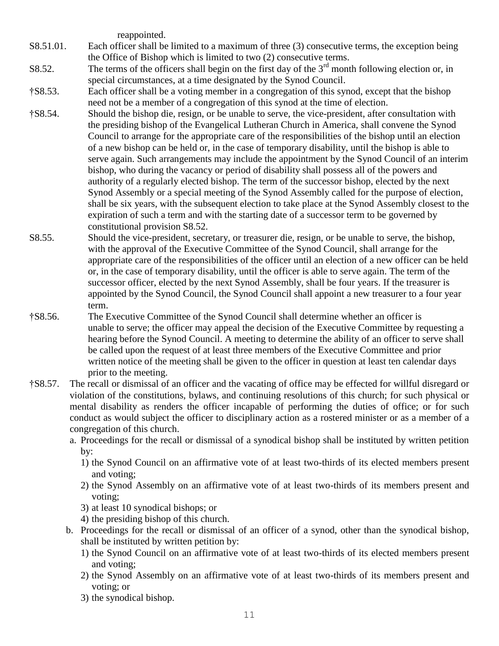reappointed.

- S8.51.01. Each officer shall be limited to a maximum of three (3) consecutive terms, the exception being the Office of Bishop which is limited to two (2) consecutive terms.
- S8.52. The terms of the officers shall begin on the first day of the  $3<sup>rd</sup>$  month following election or, in special circumstances, at a time designated by the Synod Council.
- †S8.53. Each officer shall be a voting member in a congregation of this synod, except that the bishop need not be a member of a congregation of this synod at the time of election.
- †S8.54. Should the bishop die, resign, or be unable to serve, the vice-president, after consultation with the presiding bishop of the Evangelical Lutheran Church in America, shall convene the Synod Council to arrange for the appropriate care of the responsibilities of the bishop until an election of a new bishop can be held or, in the case of temporary disability, until the bishop is able to serve again. Such arrangements may include the appointment by the Synod Council of an interim bishop, who during the vacancy or period of disability shall possess all of the powers and authority of a regularly elected bishop. The term of the successor bishop, elected by the next Synod Assembly or a special meeting of the Synod Assembly called for the purpose of election, shall be six years, with the subsequent election to take place at the Synod Assembly closest to the expiration of such a term and with the starting date of a successor term to be governed by constitutional provision S8.52.
- S8.55. Should the vice-president, secretary, or treasurer die, resign, or be unable to serve, the bishop, with the approval of the Executive Committee of the Synod Council, shall arrange for the appropriate care of the responsibilities of the officer until an election of a new officer can be held or, in the case of temporary disability, until the officer is able to serve again. The term of the successor officer, elected by the next Synod Assembly, shall be four years. If the treasurer is appointed by the Synod Council, the Synod Council shall appoint a new treasurer to a four year term.
- †S8.56. The Executive Committee of the Synod Council shall determine whether an officer is unable to serve; the officer may appeal the decision of the Executive Committee by requesting a hearing before the Synod Council. A meeting to determine the ability of an officer to serve shall be called upon the request of at least three members of the Executive Committee and prior written notice of the meeting shall be given to the officer in question at least ten calendar days prior to the meeting.
- †S8.57. The recall or dismissal of an officer and the vacating of office may be effected for willful disregard or violation of the constitutions, bylaws, and continuing resolutions of this church; for such physical or mental disability as renders the officer incapable of performing the duties of office; or for such conduct as would subject the officer to disciplinary action as a rostered minister or as a member of a congregation of this church.
	- a. Proceedings for the recall or dismissal of a synodical bishop shall be instituted by written petition by:
		- 1) the Synod Council on an affirmative vote of at least two-thirds of its elected members present and voting;
		- 2) the Synod Assembly on an affirmative vote of at least two-thirds of its members present and voting;
		- 3) at least 10 synodical bishops; or
		- 4) the presiding bishop of this church.
	- b. Proceedings for the recall or dismissal of an officer of a synod, other than the synodical bishop, shall be instituted by written petition by:
		- 1) the Synod Council on an affirmative vote of at least two-thirds of its elected members present and voting;
		- 2) the Synod Assembly on an affirmative vote of at least two-thirds of its members present and voting; or
		- 3) the synodical bishop.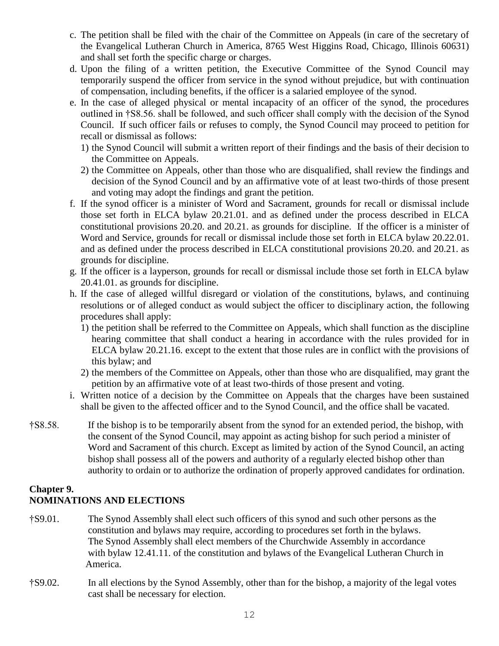- c. The petition shall be filed with the chair of the Committee on Appeals (in care of the secretary of the Evangelical Lutheran Church in America, 8765 West Higgins Road, Chicago, Illinois 60631) and shall set forth the specific charge or charges.
- d. Upon the filing of a written petition, the Executive Committee of the Synod Council may temporarily suspend the officer from service in the synod without prejudice, but with continuation of compensation, including benefits, if the officer is a salaried employee of the synod.
- e. In the case of alleged physical or mental incapacity of an officer of the synod, the procedures outlined in †S8.56. shall be followed, and such officer shall comply with the decision of the Synod Council. If such officer fails or refuses to comply, the Synod Council may proceed to petition for recall or dismissal as follows:
	- 1) the Synod Council will submit a written report of their findings and the basis of their decision to the Committee on Appeals.
	- 2) the Committee on Appeals, other than those who are disqualified, shall review the findings and decision of the Synod Council and by an affirmative vote of at least two-thirds of those present and voting may adopt the findings and grant the petition.
- f. If the synod officer is a minister of Word and Sacrament, grounds for recall or dismissal include those set forth in ELCA bylaw 20.21.01. and as defined under the process described in ELCA constitutional provisions 20.20. and 20.21. as grounds for discipline. If the officer is a minister of Word and Service, grounds for recall or dismissal include those set forth in ELCA bylaw 20.22.01. and as defined under the process described in ELCA constitutional provisions 20.20. and 20.21. as grounds for discipline.
- g. If the officer is a layperson, grounds for recall or dismissal include those set forth in ELCA bylaw 20.41.01. as grounds for discipline.
- h. If the case of alleged willful disregard or violation of the constitutions, bylaws, and continuing resolutions or of alleged conduct as would subject the officer to disciplinary action, the following procedures shall apply:
	- 1) the petition shall be referred to the Committee on Appeals, which shall function as the discipline hearing committee that shall conduct a hearing in accordance with the rules provided for in ELCA bylaw 20.21.16. except to the extent that those rules are in conflict with the provisions of this bylaw; and
	- 2) the members of the Committee on Appeals, other than those who are disqualified, may grant the petition by an affirmative vote of at least two-thirds of those present and voting.
- i. Written notice of a decision by the Committee on Appeals that the charges have been sustained shall be given to the affected officer and to the Synod Council, and the office shall be vacated.
- †S8.58. If the bishop is to be temporarily absent from the synod for an extended period, the bishop, with the consent of the Synod Council, may appoint as acting bishop for such period a minister of Word and Sacrament of this church. Except as limited by action of the Synod Council, an acting bishop shall possess all of the powers and authority of a regularly elected bishop other than authority to ordain or to authorize the ordination of properly approved candidates for ordination.

#### **Chapter 9. NOMINATIONS AND ELECTIONS**

- †S9.01. The Synod Assembly shall elect such officers of this synod and such other persons as the constitution and bylaws may require, according to procedures set forth in the bylaws. The Synod Assembly shall elect members of the Churchwide Assembly in accordance with bylaw 12.41.11. of the constitution and bylaws of the Evangelical Lutheran Church in America.
- †S9.02. In all elections by the Synod Assembly, other than for the bishop, a majority of the legal votes cast shall be necessary for election.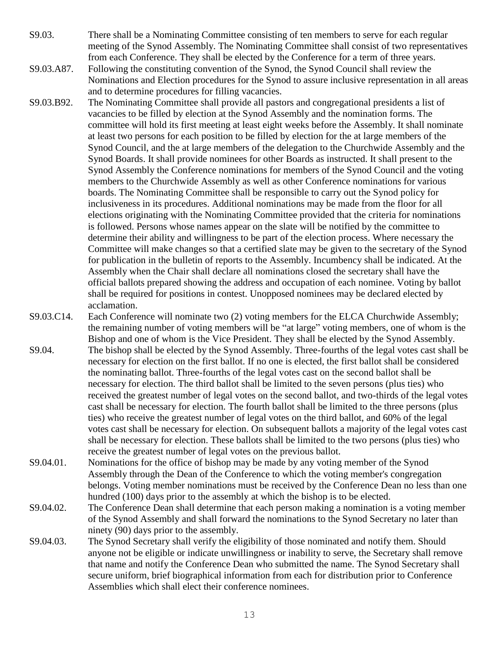- S9.03. There shall be a Nominating Committee consisting of ten members to serve for each regular meeting of the Synod Assembly. The Nominating Committee shall consist of two representatives from each Conference. They shall be elected by the Conference for a term of three years.
- S9.03.A87. Following the constituting convention of the Synod, the Synod Council shall review the Nominations and Election procedures for the Synod to assure inclusive representation in all areas and to determine procedures for filling vacancies.
- S9.03.B92. The Nominating Committee shall provide all pastors and congregational presidents a list of vacancies to be filled by election at the Synod Assembly and the nomination forms. The committee will hold its first meeting at least eight weeks before the Assembly. It shall nominate at least two persons for each position to be filled by election for the at large members of the Synod Council, and the at large members of the delegation to the Churchwide Assembly and the Synod Boards. It shall provide nominees for other Boards as instructed. It shall present to the Synod Assembly the Conference nominations for members of the Synod Council and the voting members to the Churchwide Assembly as well as other Conference nominations for various boards. The Nominating Committee shall be responsible to carry out the Synod policy for inclusiveness in its procedures. Additional nominations may be made from the floor for all elections originating with the Nominating Committee provided that the criteria for nominations is followed. Persons whose names appear on the slate will be notified by the committee to determine their ability and willingness to be part of the election process. Where necessary the Committee will make changes so that a certified slate may be given to the secretary of the Synod for publication in the bulletin of reports to the Assembly. Incumbency shall be indicated. At the Assembly when the Chair shall declare all nominations closed the secretary shall have the official ballots prepared showing the address and occupation of each nominee. Voting by ballot shall be required for positions in contest. Unopposed nominees may be declared elected by acclamation.
- S9.03.C14. Each Conference will nominate two (2) voting members for the ELCA Churchwide Assembly; the remaining number of voting members will be "at large" voting members, one of whom is the Bishop and one of whom is the Vice President. They shall be elected by the Synod Assembly. S9.04. The bishop shall be elected by the Synod Assembly. Three-fourths of the legal votes cast shall be necessary for election on the first ballot. If no one is elected, the first ballot shall be considered the nominating ballot. Three-fourths of the legal votes cast on the second ballot shall be necessary for election. The third ballot shall be limited to the seven persons (plus ties) who received the greatest number of legal votes on the second ballot, and two-thirds of the legal votes cast shall be necessary for election. The fourth ballot shall be limited to the three persons (plus ties) who receive the greatest number of legal votes on the third ballot, and 60% of the legal votes cast shall be necessary for election. On subsequent ballots a majority of the legal votes cast shall be necessary for election. These ballots shall be limited to the two persons (plus ties) who receive the greatest number of legal votes on the previous ballot.
- S9.04.01. Nominations for the office of bishop may be made by any voting member of the Synod Assembly through the Dean of the Conference to which the voting member's congregation belongs. Voting member nominations must be received by the Conference Dean no less than one hundred (100) days prior to the assembly at which the bishop is to be elected.
- S9.04.02. The Conference Dean shall determine that each person making a nomination is a voting member of the Synod Assembly and shall forward the nominations to the Synod Secretary no later than ninety (90) days prior to the assembly.
- S9.04.03. The Synod Secretary shall verify the eligibility of those nominated and notify them. Should anyone not be eligible or indicate unwillingness or inability to serve, the Secretary shall remove that name and notify the Conference Dean who submitted the name. The Synod Secretary shall secure uniform, brief biographical information from each for distribution prior to Conference Assemblies which shall elect their conference nominees.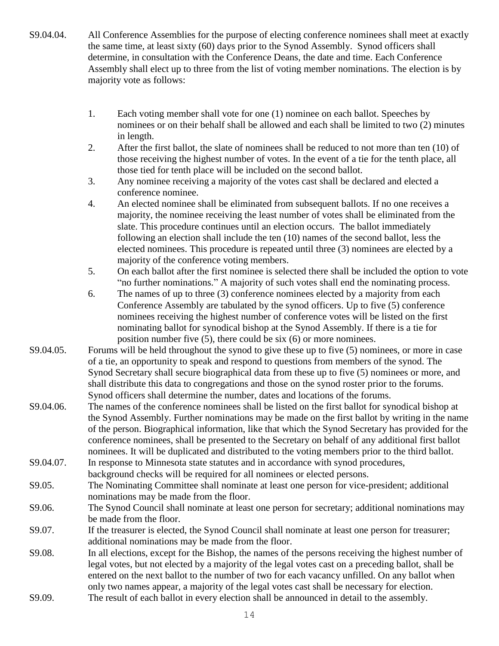- S9.04.04. All Conference Assemblies for the purpose of electing conference nominees shall meet at exactly the same time, at least sixty (60) days prior to the Synod Assembly. Synod officers shall determine, in consultation with the Conference Deans, the date and time. Each Conference Assembly shall elect up to three from the list of voting member nominations. The election is by majority vote as follows:
	- 1. Each voting member shall vote for one (1) nominee on each ballot. Speeches by nominees or on their behalf shall be allowed and each shall be limited to two (2) minutes in length.
	- 2. After the first ballot, the slate of nominees shall be reduced to not more than ten (10) of those receiving the highest number of votes. In the event of a tie for the tenth place, all those tied for tenth place will be included on the second ballot.
	- 3. Any nominee receiving a majority of the votes cast shall be declared and elected a conference nominee.
	- 4. An elected nominee shall be eliminated from subsequent ballots. If no one receives a majority, the nominee receiving the least number of votes shall be eliminated from the slate. This procedure continues until an election occurs. The ballot immediately following an election shall include the ten (10) names of the second ballot, less the elected nominees. This procedure is repeated until three (3) nominees are elected by a majority of the conference voting members.
	- 5. On each ballot after the first nominee is selected there shall be included the option to vote "no further nominations." A majority of such votes shall end the nominating process.
	- 6. The names of up to three (3) conference nominees elected by a majority from each Conference Assembly are tabulated by the synod officers. Up to five (5) conference nominees receiving the highest number of conference votes will be listed on the first nominating ballot for synodical bishop at the Synod Assembly. If there is a tie for position number five (5), there could be six (6) or more nominees.
- S9.04.05. Forums will be held throughout the synod to give these up to five (5) nominees, or more in case of a tie, an opportunity to speak and respond to questions from members of the synod. The Synod Secretary shall secure biographical data from these up to five (5) nominees or more, and shall distribute this data to congregations and those on the synod roster prior to the forums. Synod officers shall determine the number, dates and locations of the forums.
- S9.04.06. The names of the conference nominees shall be listed on the first ballot for synodical bishop at the Synod Assembly. Further nominations may be made on the first ballot by writing in the name of the person. Biographical information, like that which the Synod Secretary has provided for the conference nominees, shall be presented to the Secretary on behalf of any additional first ballot nominees. It will be duplicated and distributed to the voting members prior to the third ballot.
- S9.04.07. In response to Minnesota state statutes and in accordance with synod procedures, background checks will be required for all nominees or elected persons.
- S9.05. The Nominating Committee shall nominate at least one person for vice-president; additional nominations may be made from the floor.
- S9.06. The Synod Council shall nominate at least one person for secretary; additional nominations may be made from the floor.
- S9.07. If the treasurer is elected, the Synod Council shall nominate at least one person for treasurer; additional nominations may be made from the floor.
- S9.08. In all elections, except for the Bishop, the names of the persons receiving the highest number of legal votes, but not elected by a majority of the legal votes cast on a preceding ballot, shall be entered on the next ballot to the number of two for each vacancy unfilled. On any ballot when only two names appear, a majority of the legal votes cast shall be necessary for election.
- S9.09. The result of each ballot in every election shall be announced in detail to the assembly.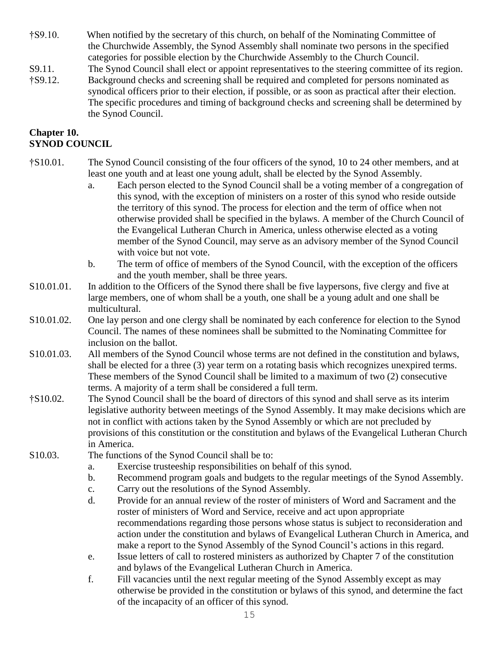- †S9.10. When notified by the secretary of this church, on behalf of the Nominating Committee of the Churchwide Assembly, the Synod Assembly shall nominate two persons in the specified categories for possible election by the Churchwide Assembly to the Church Council.
- S9.11. The Synod Council shall elect or appoint representatives to the steering committee of its region.
- †S9.12. Background checks and screening shall be required and completed for persons nominated as synodical officers prior to their election, if possible, or as soon as practical after their election. The specific procedures and timing of background checks and screening shall be determined by the Synod Council.

## **Chapter 10. SYNOD COUNCIL**

- †S10.01. The Synod Council consisting of the four officers of the synod, 10 to 24 other members, and at least one youth and at least one young adult, shall be elected by the Synod Assembly.
	- a. Each person elected to the Synod Council shall be a voting member of a congregation of this synod, with the exception of ministers on a roster of this synod who reside outside the territory of this synod. The process for election and the term of office when not otherwise provided shall be specified in the bylaws. A member of the Church Council of the Evangelical Lutheran Church in America, unless otherwise elected as a voting member of the Synod Council, may serve as an advisory member of the Synod Council with voice but not vote.
	- b. The term of office of members of the Synod Council, with the exception of the officers and the youth member, shall be three years.
- S10.01.01. In addition to the Officers of the Synod there shall be five laypersons, five clergy and five at large members, one of whom shall be a youth, one shall be a young adult and one shall be multicultural.
- S10.01.02. One lay person and one clergy shall be nominated by each conference for election to the Synod Council. The names of these nominees shall be submitted to the Nominating Committee for inclusion on the ballot.
- S10.01.03. All members of the Synod Council whose terms are not defined in the constitution and bylaws, shall be elected for a three (3) year term on a rotating basis which recognizes unexpired terms. These members of the Synod Council shall be limited to a maximum of two (2) consecutive terms. A majority of a term shall be considered a full term.
- †S10.02. The Synod Council shall be the board of directors of this synod and shall serve as its interim legislative authority between meetings of the Synod Assembly. It may make decisions which are not in conflict with actions taken by the Synod Assembly or which are not precluded by provisions of this constitution or the constitution and bylaws of the Evangelical Lutheran Church in America.
- S10.03. The functions of the Synod Council shall be to:
	- a. Exercise trusteeship responsibilities on behalf of this synod.
	- b. Recommend program goals and budgets to the regular meetings of the Synod Assembly.
	- c. Carry out the resolutions of the Synod Assembly.
	- d. Provide for an annual review of the roster of ministers of Word and Sacrament and the roster of ministers of Word and Service, receive and act upon appropriate recommendations regarding those persons whose status is subject to reconsideration and action under the constitution and bylaws of Evangelical Lutheran Church in America, and make a report to the Synod Assembly of the Synod Council's actions in this regard.
	- e. Issue letters of call to rostered ministers as authorized by Chapter 7 of the constitution and bylaws of the Evangelical Lutheran Church in America.
	- f. Fill vacancies until the next regular meeting of the Synod Assembly except as may otherwise be provided in the constitution or bylaws of this synod, and determine the fact of the incapacity of an officer of this synod.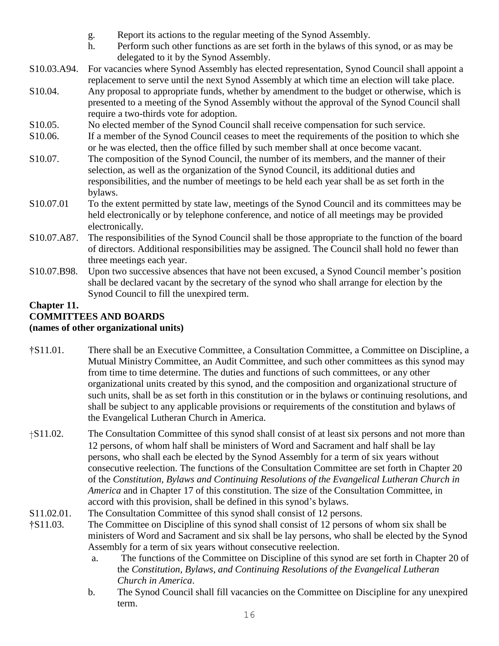- g. Report its actions to the regular meeting of the Synod Assembly.
- h. Perform such other functions as are set forth in the bylaws of this synod, or as may be delegated to it by the Synod Assembly.
- S10.03.A94. For vacancies where Synod Assembly has elected representation, Synod Council shall appoint a replacement to serve until the next Synod Assembly at which time an election will take place.
- S10.04. Any proposal to appropriate funds, whether by amendment to the budget or otherwise, which is presented to a meeting of the Synod Assembly without the approval of the Synod Council shall require a two-thirds vote for adoption.
- S10.05. No elected member of the Synod Council shall receive compensation for such service.
- S10.06. If a member of the Synod Council ceases to meet the requirements of the position to which she or he was elected, then the office filled by such member shall at once become vacant.
- S10.07. The composition of the Synod Council, the number of its members, and the manner of their selection, as well as the organization of the Synod Council, its additional duties and responsibilities, and the number of meetings to be held each year shall be as set forth in the bylaws.
- S10.07.01 To the extent permitted by state law, meetings of the Synod Council and its committees may be held electronically or by telephone conference, and notice of all meetings may be provided electronically.
- S10.07.A87. The responsibilities of the Synod Council shall be those appropriate to the function of the board of directors. Additional responsibilities may be assigned. The Council shall hold no fewer than three meetings each year.
- S10.07.B98. Upon two successive absences that have not been excused, a Synod Council member's position shall be declared vacant by the secretary of the synod who shall arrange for election by the Synod Council to fill the unexpired term.

#### **Chapter 11. COMMITTEES AND BOARDS (names of other organizational units)**

- †S11.01. There shall be an Executive Committee, a Consultation Committee, a Committee on Discipline, a Mutual Ministry Committee, an Audit Committee, and such other committees as this synod may from time to time determine. The duties and functions of such committees, or any other organizational units created by this synod, and the composition and organizational structure of such units, shall be as set forth in this constitution or in the bylaws or continuing resolutions, and shall be subject to any applicable provisions or requirements of the constitution and bylaws of the Evangelical Lutheran Church in America.
- †S11.02. The Consultation Committee of this synod shall consist of at least six persons and not more than 12 persons, of whom half shall be ministers of Word and Sacrament and half shall be lay persons, who shall each be elected by the Synod Assembly for a term of six years without consecutive reelection. The functions of the Consultation Committee are set forth in Chapter 20 of the *Constitution, Bylaws and Continuing Resolutions of the Evangelical Lutheran Church in America* and in Chapter 17 of this constitution. The size of the Consultation Committee, in accord with this provision, shall be defined in this synod's bylaws.
- S11.02.01. The Consultation Committee of this synod shall consist of 12 persons.
- †S11.03. The Committee on Discipline of this synod shall consist of 12 persons of whom six shall be ministers of Word and Sacrament and six shall be lay persons, who shall be elected by the Synod Assembly for a term of six years without consecutive reelection.
	- a. The functions of the Committee on Discipline of this synod are set forth in Chapter 20 of the *Constitution, Bylaws, and Continuing Resolutions of the Evangelical Lutheran Church in America*.
	- b. The Synod Council shall fill vacancies on the Committee on Discipline for any unexpired term.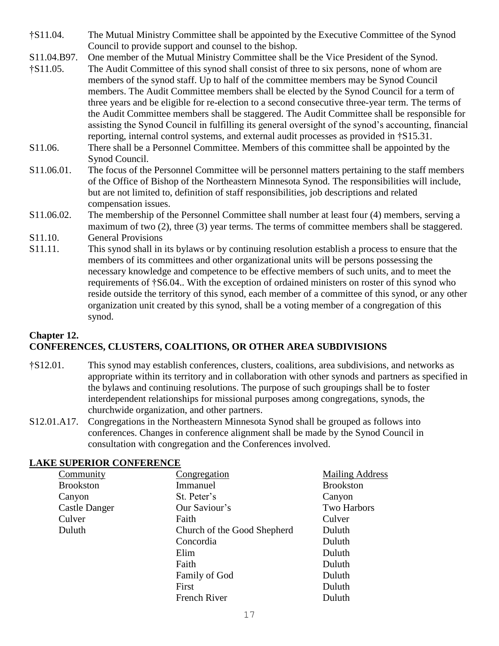- †S11.04. The Mutual Ministry Committee shall be appointed by the Executive Committee of the Synod Council to provide support and counsel to the bishop.
- S11.04.B97. One member of the Mutual Ministry Committee shall be the Vice President of the Synod.
- †S11.05. The Audit Committee of this synod shall consist of three to six persons, none of whom are members of the synod staff. Up to half of the committee members may be Synod Council members. The Audit Committee members shall be elected by the Synod Council for a term of three years and be eligible for re-election to a second consecutive three-year term. The terms of the Audit Committee members shall be staggered. The Audit Committee shall be responsible for assisting the Synod Council in fulfilling its general oversight of the synod's accounting, financial reporting, internal control systems, and external audit processes as provided in †S15.31.
- S11.06. There shall be a Personnel Committee. Members of this committee shall be appointed by the Synod Council.
- S11.06.01. The focus of the Personnel Committee will be personnel matters pertaining to the staff members of the Office of Bishop of the Northeastern Minnesota Synod. The responsibilities will include, but are not limited to, definition of staff responsibilities, job descriptions and related compensation issues.
- S11.06.02. The membership of the Personnel Committee shall number at least four (4) members, serving a maximum of two (2), three (3) year terms. The terms of committee members shall be staggered.
- S11.10. General Provisions
- S11.11. This synod shall in its bylaws or by continuing resolution establish a process to ensure that the members of its committees and other organizational units will be persons possessing the necessary knowledge and competence to be effective members of such units, and to meet the requirements of †S6.04.. With the exception of ordained ministers on roster of this synod who reside outside the territory of this synod, each member of a committee of this synod, or any other organization unit created by this synod, shall be a voting member of a congregation of this synod.

## **Chapter 12. CONFERENCES, CLUSTERS, COALITIONS, OR OTHER AREA SUBDIVISIONS**

- †S12.01. This synod may establish conferences, clusters, coalitions, area subdivisions, and networks as appropriate within its territory and in collaboration with other synods and partners as specified in the bylaws and continuing resolutions. The purpose of such groupings shall be to foster interdependent relationships for missional purposes among congregations, synods, the churchwide organization, and other partners.
- S12.01.A17. Congregations in the Northeastern Minnesota Synod shall be grouped as follows into conferences. Changes in conference alignment shall be made by the Synod Council in consultation with congregation and the Conferences involved.

## **LAKE SUPERIOR CONFERENCE**

| Community            | Congregation                | <b>Mailing Address</b> |
|----------------------|-----------------------------|------------------------|
| <b>Brookston</b>     | Immanuel                    | <b>Brookston</b>       |
| Canyon               | St. Peter's                 | Canyon                 |
| <b>Castle Danger</b> | Our Saviour's               | Two Harbors            |
| Culver               | Faith                       | Culver                 |
| Duluth               | Church of the Good Shepherd | Duluth                 |
|                      | Concordia                   | Duluth                 |
|                      | Elim                        | Duluth                 |
|                      | Faith                       | Duluth                 |
|                      | Family of God               | Duluth                 |
|                      | First                       | Duluth                 |
|                      | <b>French River</b>         | Duluth                 |
|                      |                             |                        |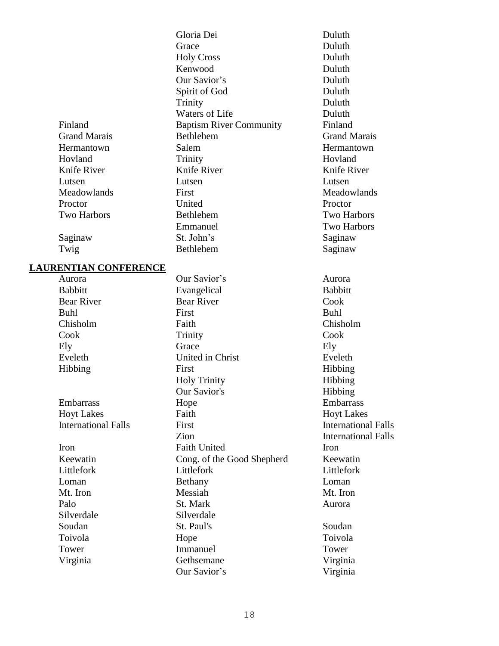|                              | Gloria Dei                     | Duluth                     |
|------------------------------|--------------------------------|----------------------------|
|                              | Grace                          | Duluth                     |
|                              | <b>Holy Cross</b>              | Duluth                     |
|                              | Kenwood                        | Duluth                     |
|                              | Our Savior's                   | Duluth                     |
|                              | Spirit of God                  | Duluth                     |
|                              | Trinity                        | Duluth                     |
|                              | Waters of Life                 | Duluth                     |
| Finland                      | <b>Baptism River Community</b> | Finland                    |
| <b>Grand Marais</b>          | Bethlehem                      | <b>Grand Marais</b>        |
| Hermantown                   | Salem                          | Hermantown                 |
| Hovland                      | Trinity                        | Hovland                    |
| Knife River                  | Knife River                    | Knife River                |
| Lutsen                       | Lutsen                         | Lutsen                     |
| Meadowlands                  | First                          | Meadowlands                |
| Proctor                      | United                         | Proctor                    |
| <b>Two Harbors</b>           | Bethlehem                      | <b>Two Harbors</b>         |
|                              | Emmanuel                       | Two Harbors                |
| Saginaw                      | St. John's                     | Saginaw                    |
| Twig                         | Bethlehem                      | Saginaw                    |
| <b>LAURENTIAN CONFERENCE</b> |                                |                            |
| Aurora                       | Our Savior's                   | Aurora                     |
| <b>Babbitt</b>               | Evangelical                    | <b>Babbitt</b>             |
| <b>Bear River</b>            | <b>Bear River</b>              | Cook                       |
| Buhl                         | First                          | <b>Buhl</b>                |
| Chisholm                     | Faith                          | Chisholm                   |
| Cook                         | Trinity                        | Cook                       |
| Ely                          | Grace                          | Ely                        |
| Eveleth                      | United in Christ               | Eveleth                    |
| Hibbing                      | First                          | Hibbing                    |
|                              | <b>Holy Trinity</b>            | Hibbing                    |
|                              | Our Savior's                   | Hibbing                    |
| Embarrass                    | Hope                           | Embarrass                  |
| <b>Hoyt Lakes</b>            | Faith                          | <b>Hoyt Lakes</b>          |
| <b>International Falls</b>   | First                          | <b>International Falls</b> |
|                              | Zion                           | <b>International Falls</b> |
| Iron                         | <b>Faith United</b>            | Iron                       |
| Keewatin                     | Cong. of the Good Shepherd     | Keewatin                   |
| Littlefork                   | Littlefork                     | Littlefork                 |
| Loman                        | Bethany                        | Loman                      |
| Mt. Iron                     | Messiah                        | Mt. Iron                   |
| Palo                         | St. Mark                       | Aurora                     |
| Silverdale                   | Silverdale                     |                            |
| Soudan                       | St. Paul's                     | Soudan                     |
| Toivola                      | Hope                           | Toivola                    |
| Tower                        | Immanuel                       | Tower                      |
| Virginia                     | Gethsemane                     | Virginia                   |
|                              | Our Savior's                   | Virginia                   |
|                              |                                |                            |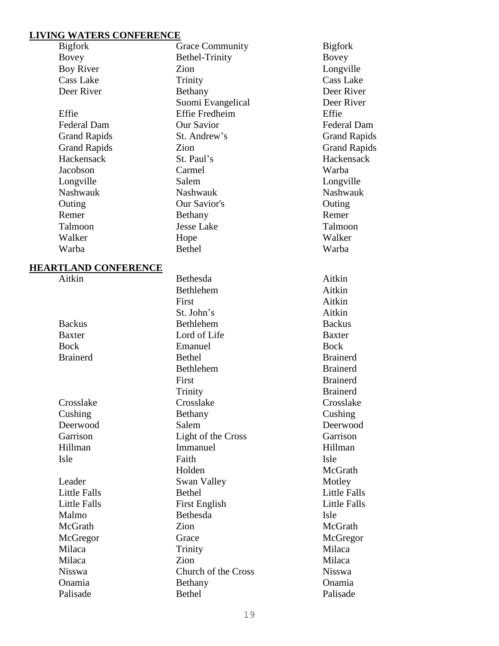#### **LIVING WATERS CONFERENCE**

| <b>Bigfork</b>              | <b>Grace Community</b> | <b>Bigfork</b>      |
|-----------------------------|------------------------|---------------------|
| <b>Bovey</b>                | Bethel-Trinity         | <b>Bovey</b>        |
| <b>Boy River</b>            | Zion                   | Longville           |
| <b>Cass Lake</b>            | Trinity                | <b>Cass Lake</b>    |
| Deer River                  | Bethany                | Deer River          |
|                             | Suomi Evangelical      | Deer River          |
| Effie                       | <b>Effie Fredheim</b>  | Effie               |
| <b>Federal Dam</b>          | <b>Our Savior</b>      | <b>Federal Dam</b>  |
| <b>Grand Rapids</b>         | St. Andrew's           | <b>Grand Rapids</b> |
| <b>Grand Rapids</b>         | Zion                   | <b>Grand Rapids</b> |
| Hackensack                  | St. Paul's             | Hackensack          |
| Jacobson                    | Carmel                 | Warba               |
| Longville                   | Salem                  | Longville           |
| Nashwauk                    | <b>Nashwauk</b>        | <b>Nashwauk</b>     |
| Outing                      | Our Savior's           | Outing              |
| Remer                       | Bethany                | Remer               |
| Talmoon                     | <b>Jesse Lake</b>      | Talmoon             |
| Walker                      | Hope                   | Walker              |
| Warba                       | <b>Bethel</b>          | Warba               |
|                             |                        |                     |
| <b>HEARTLAND CONFERENCE</b> |                        |                     |
| Aitkin                      | <b>Bethesda</b>        | Aitkin              |
|                             | Bethlehem              | Aitkin              |
|                             | First                  | Aitkin              |
|                             | St. John's             | Aitkin              |
| <b>Backus</b>               | Bethlehem              | <b>Backus</b>       |
| <b>Baxter</b>               | Lord of Life           | <b>Baxter</b>       |
| <b>Bock</b>                 | Emanuel                | <b>Bock</b>         |
| <b>Brainerd</b>             | <b>Bethel</b>          | <b>Brainerd</b>     |
|                             | Bethlehem              | <b>Brainerd</b>     |
|                             | First                  | <b>Brainerd</b>     |
|                             | Trinity                | <b>Brainerd</b>     |
| Crosslake                   | Crosslake              | Crosslake           |
| Cushing                     | Bethany                | Cushing             |
| Deerwood                    | Salem                  | Deerwood            |
| Garrison                    | Light of the Cross     | Garrison            |
| Hillman                     | Immanuel               | Hillman             |
| Isle                        | Faith                  | Isle                |
|                             | Holden                 | McGrath             |
| Leader                      | Swan Valley            | Motley              |
| <b>Little Falls</b>         | <b>Bethel</b>          | <b>Little Falls</b> |
| Little Falls                | <b>First English</b>   | Little Falls        |
| Malmo                       | Bethesda               | Isle                |
| McGrath                     | Zion                   | McGrath             |
| McGregor                    | Grace                  | McGregor            |
| Milaca                      | Trinity                | Milaca              |
| Milaca                      | Zion                   | Milaca              |
| <b>Nisswa</b>               | Church of the Cross    | <b>Nisswa</b>       |
| Onamia                      | Bethany                | Onamia              |
| Palisade                    | <b>Bethel</b>          | Palisade            |
|                             |                        |                     |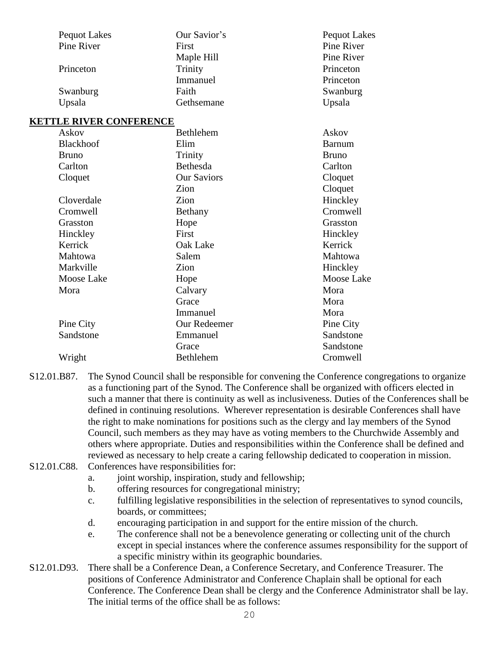| <b>Pequot Lakes</b>            | Our Savior's       | <b>Pequot Lakes</b> |
|--------------------------------|--------------------|---------------------|
| Pine River                     | First              | Pine River          |
|                                | Maple Hill         | Pine River          |
| Princeton                      | Trinity            | Princeton           |
|                                | Immanuel           | Princeton           |
| Swanburg                       | Faith              | Swanburg            |
| Upsala                         | Gethsemane         | Upsala              |
| <b>KETTLE RIVER CONFERENCE</b> |                    |                     |
| Askov                          | <b>Bethlehem</b>   | Askov               |
| Blackhoof                      | Elim               | <b>Barnum</b>       |
| <b>Bruno</b>                   | Trinity            | <b>Bruno</b>        |
| Carlton                        | Bethesda           | Carlton             |
| Cloquet                        | <b>Our Saviors</b> | Cloquet             |
|                                | Zion               | Cloquet             |
| Cloverdale                     | Zion               | Hinckley            |
| Cromwell                       | Bethany            | Cromwell            |
| Grasston                       | Hope               | Grasston            |
| Hinckley                       | First              | Hinckley            |
| Kerrick                        | Oak Lake           | Kerrick             |
| Mahtowa                        | Salem              | Mahtowa             |
| Markville                      | Zion               | Hinckley            |
| <b>Moose Lake</b>              | Hope               | Moose Lake          |
| Mora                           | Calvary            | Mora                |
|                                | Grace              | Mora                |
|                                | Immanuel           | Mora                |
| Pine City                      | Our Redeemer       | Pine City           |
| Sandstone                      | Emmanuel           | Sandstone           |
|                                | Grace              | Sandstone           |
| Wright                         | Bethlehem          | Cromwell            |

- S12.01.B87. The Synod Council shall be responsible for convening the Conference congregations to organize as a functioning part of the Synod. The Conference shall be organized with officers elected in such a manner that there is continuity as well as inclusiveness. Duties of the Conferences shall be defined in continuing resolutions. Wherever representation is desirable Conferences shall have the right to make nominations for positions such as the clergy and lay members of the Synod Council, such members as they may have as voting members to the Churchwide Assembly and others where appropriate. Duties and responsibilities within the Conference shall be defined and reviewed as necessary to help create a caring fellowship dedicated to cooperation in mission.
- S12.01.C88. Conferences have responsibilities for:
	- a. joint worship, inspiration, study and fellowship;
	- b. offering resources for congregational ministry;
	- c. fulfilling legislative responsibilities in the selection of representatives to synod councils, boards, or committees;
	- d. encouraging participation in and support for the entire mission of the church.
	- e. The conference shall not be a benevolence generating or collecting unit of the church except in special instances where the conference assumes responsibility for the support of a specific ministry within its geographic boundaries.
- S12.01.D93. There shall be a Conference Dean, a Conference Secretary, and Conference Treasurer. The positions of Conference Administrator and Conference Chaplain shall be optional for each Conference. The Conference Dean shall be clergy and the Conference Administrator shall be lay. The initial terms of the office shall be as follows: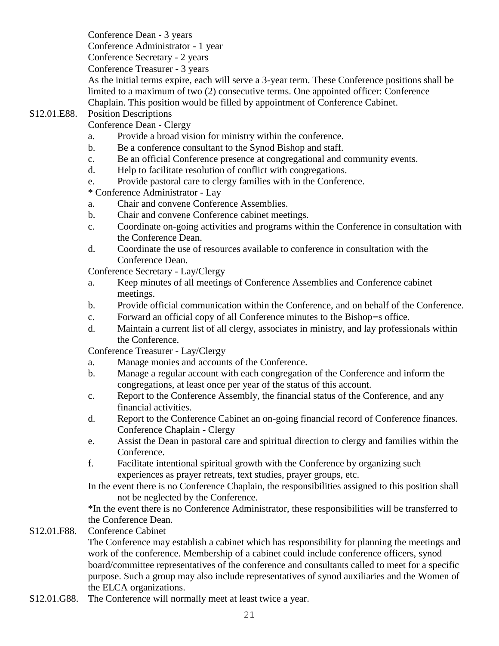Conference Dean - 3 years

Conference Administrator - 1 year

Conference Secretary - 2 years

Conference Treasurer - 3 years

As the initial terms expire, each will serve a 3-year term. These Conference positions shall be limited to a maximum of two (2) consecutive terms. One appointed officer: Conference

Chaplain. This position would be filled by appointment of Conference Cabinet.

S12.01.E88. Position Descriptions

Conference Dean - Clergy

- a. Provide a broad vision for ministry within the conference.
- b. Be a conference consultant to the Synod Bishop and staff.
- c. Be an official Conference presence at congregational and community events.
- d. Help to facilitate resolution of conflict with congregations.
- e. Provide pastoral care to clergy families with in the Conference.

\* Conference Administrator - Lay

- a. Chair and convene Conference Assemblies.
- b. Chair and convene Conference cabinet meetings.
- c. Coordinate on-going activities and programs within the Conference in consultation with the Conference Dean.
- d. Coordinate the use of resources available to conference in consultation with the Conference Dean.

Conference Secretary - Lay/Clergy

- a. Keep minutes of all meetings of Conference Assemblies and Conference cabinet meetings.
- b. Provide official communication within the Conference, and on behalf of the Conference.
- c. Forward an official copy of all Conference minutes to the Bishop=s office.
- d. Maintain a current list of all clergy, associates in ministry, and lay professionals within the Conference.

Conference Treasurer - Lay/Clergy

- a. Manage monies and accounts of the Conference.
- b. Manage a regular account with each congregation of the Conference and inform the congregations, at least once per year of the status of this account.
- c. Report to the Conference Assembly, the financial status of the Conference, and any financial activities.
- d. Report to the Conference Cabinet an on-going financial record of Conference finances. Conference Chaplain - Clergy
- e. Assist the Dean in pastoral care and spiritual direction to clergy and families within the Conference.
- f. Facilitate intentional spiritual growth with the Conference by organizing such experiences as prayer retreats, text studies, prayer groups, etc.
- In the event there is no Conference Chaplain, the responsibilities assigned to this position shall not be neglected by the Conference.

\*In the event there is no Conference Administrator, these responsibilities will be transferred to the Conference Dean.

#### S12.01.F88. Conference Cabinet

The Conference may establish a cabinet which has responsibility for planning the meetings and work of the conference. Membership of a cabinet could include conference officers, synod board/committee representatives of the conference and consultants called to meet for a specific purpose. Such a group may also include representatives of synod auxiliaries and the Women of the ELCA organizations.

S12.01.G88. The Conference will normally meet at least twice a year.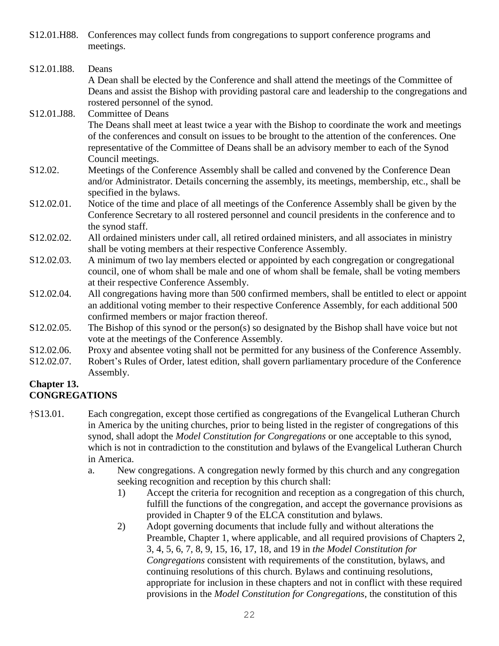S12.01.H88. Conferences may collect funds from congregations to support conference programs and meetings.

# S12.01.I88. Deans

A Dean shall be elected by the Conference and shall attend the meetings of the Committee of Deans and assist the Bishop with providing pastoral care and leadership to the congregations and rostered personnel of the synod.

S12.01.J88. Committee of Deans

- The Deans shall meet at least twice a year with the Bishop to coordinate the work and meetings of the conferences and consult on issues to be brought to the attention of the conferences. One representative of the Committee of Deans shall be an advisory member to each of the Synod Council meetings.
- S12.02. Meetings of the Conference Assembly shall be called and convened by the Conference Dean and/or Administrator. Details concerning the assembly, its meetings, membership, etc., shall be specified in the bylaws.
- S12.02.01. Notice of the time and place of all meetings of the Conference Assembly shall be given by the Conference Secretary to all rostered personnel and council presidents in the conference and to the synod staff.
- S12.02.02. All ordained ministers under call, all retired ordained ministers, and all associates in ministry shall be voting members at their respective Conference Assembly.
- S12.02.03. A minimum of two lay members elected or appointed by each congregation or congregational council, one of whom shall be male and one of whom shall be female, shall be voting members at their respective Conference Assembly.
- S12.02.04. All congregations having more than 500 confirmed members, shall be entitled to elect or appoint an additional voting member to their respective Conference Assembly, for each additional 500 confirmed members or major fraction thereof.
- S12.02.05. The Bishop of this synod or the person(s) so designated by the Bishop shall have voice but not vote at the meetings of the Conference Assembly.
- S12.02.06. Proxy and absentee voting shall not be permitted for any business of the Conference Assembly.
- S12.02.07. Robert's Rules of Order, latest edition, shall govern parliamentary procedure of the Conference Assembly.

#### **Chapter 13. CONGREGATIONS**

- †S13.01. Each congregation, except those certified as congregations of the Evangelical Lutheran Church in America by the uniting churches, prior to being listed in the register of congregations of this synod, shall adopt the *Model Constitution for Congregations* or one acceptable to this synod, which is not in contradiction to the constitution and bylaws of the Evangelical Lutheran Church in America.
	- a. New congregations. A congregation newly formed by this church and any congregation seeking recognition and reception by this church shall:
		- 1) Accept the criteria for recognition and reception as a congregation of this church, fulfill the functions of the congregation, and accept the governance provisions as provided in Chapter 9 of the ELCA constitution and bylaws.
		- 2) Adopt governing documents that include fully and without alterations the Preamble, Chapter 1, where applicable, and all required provisions of Chapters 2, 3, 4, 5, 6, 7, 8, 9, 15, 16, 17, 18, and 19 in *the Model Constitution for Congregations* consistent with requirements of the constitution, bylaws, and continuing resolutions of this church. Bylaws and continuing resolutions, appropriate for inclusion in these chapters and not in conflict with these required provisions in the *Model Constitution for Congregations*, the constitution of this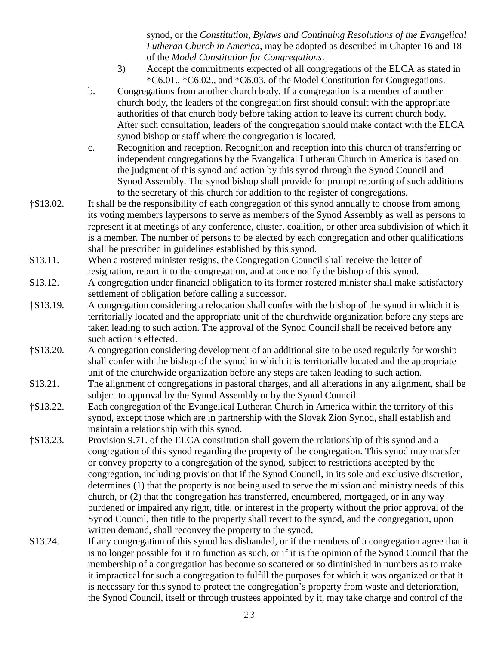synod, or the *Constitution, Bylaws and Continuing Resolutions of the Evangelical Lutheran Church in America*, may be adopted as described in Chapter 16 and 18 of the *Model Constitution for Congregations*.

- 3) Accept the commitments expected of all congregations of the ELCA as stated in \*C6.01., \*C6.02., and \*C6.03. of the Model Constitution for Congregations.
- b. Congregations from another church body. If a congregation is a member of another church body, the leaders of the congregation first should consult with the appropriate authorities of that church body before taking action to leave its current church body. After such consultation, leaders of the congregation should make contact with the ELCA synod bishop or staff where the congregation is located.
- c. Recognition and reception. Recognition and reception into this church of transferring or independent congregations by the Evangelical Lutheran Church in America is based on the judgment of this synod and action by this synod through the Synod Council and Synod Assembly. The synod bishop shall provide for prompt reporting of such additions to the secretary of this church for addition to the register of congregations.
- †S13.02. It shall be the responsibility of each congregation of this synod annually to choose from among its voting members laypersons to serve as members of the Synod Assembly as well as persons to represent it at meetings of any conference, cluster, coalition, or other area subdivision of which it is a member. The number of persons to be elected by each congregation and other qualifications shall be prescribed in guidelines established by this synod.
- S13.11. When a rostered minister resigns, the Congregation Council shall receive the letter of resignation, report it to the congregation, and at once notify the bishop of this synod.
- S13.12. A congregation under financial obligation to its former rostered minister shall make satisfactory settlement of obligation before calling a successor.
- †S13.19. A congregation considering a relocation shall confer with the bishop of the synod in which it is territorially located and the appropriate unit of the churchwide organization before any steps are taken leading to such action. The approval of the Synod Council shall be received before any such action is effected.
- †S13.20. A congregation considering development of an additional site to be used regularly for worship shall confer with the bishop of the synod in which it is territorially located and the appropriate unit of the churchwide organization before any steps are taken leading to such action.
- S13.21. The alignment of congregations in pastoral charges, and all alterations in any alignment, shall be subject to approval by the Synod Assembly or by the Synod Council.
- †S13.22. Each congregation of the Evangelical Lutheran Church in America within the territory of this synod, except those which are in partnership with the Slovak Zion Synod, shall establish and maintain a relationship with this synod.
- †S13.23. Provision 9.71. of the ELCA constitution shall govern the relationship of this synod and a congregation of this synod regarding the property of the congregation. This synod may transfer or convey property to a congregation of the synod, subject to restrictions accepted by the congregation, including provision that if the Synod Council, in its sole and exclusive discretion, determines (1) that the property is not being used to serve the mission and ministry needs of this church, or (2) that the congregation has transferred, encumbered, mortgaged, or in any way burdened or impaired any right, title, or interest in the property without the prior approval of the Synod Council, then title to the property shall revert to the synod, and the congregation, upon written demand, shall reconvey the property to the synod.
- S13.24. If any congregation of this synod has disbanded, or if the members of a congregation agree that it is no longer possible for it to function as such, or if it is the opinion of the Synod Council that the membership of a congregation has become so scattered or so diminished in numbers as to make it impractical for such a congregation to fulfill the purposes for which it was organized or that it is necessary for this synod to protect the congregation's property from waste and deterioration, the Synod Council, itself or through trustees appointed by it, may take charge and control of the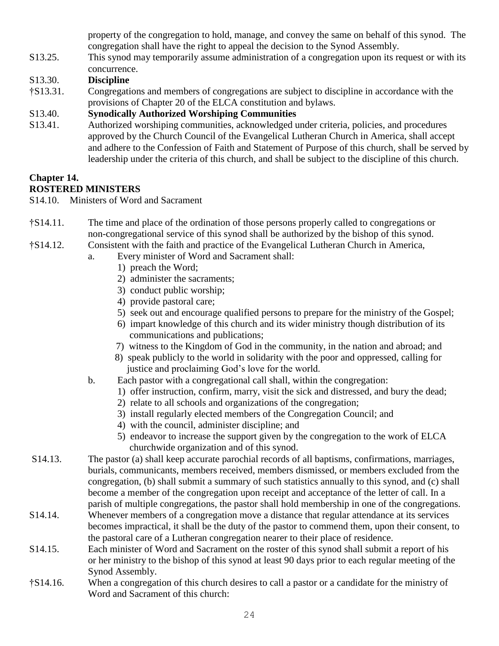property of the congregation to hold, manage, and convey the same on behalf of this synod. The congregation shall have the right to appeal the decision to the Synod Assembly.

- S13.25. This synod may temporarily assume administration of a congregation upon its request or with its concurrence.
- S13.30. **Discipline**
- †S13.31. Congregations and members of congregations are subject to discipline in accordance with the provisions of Chapter 20 of the ELCA constitution and bylaws.

# S13.40. **Synodically Authorized Worshiping Communities**

S13.41. Authorized worshiping communities, acknowledged under criteria, policies, and procedures approved by the Church Council of the Evangelical Lutheran Church in America, shall accept and adhere to the Confession of Faith and Statement of Purpose of this church, shall be served by leadership under the criteria of this church, and shall be subject to the discipline of this church.

# **Chapter 14.**

# **ROSTERED MINISTERS**

- S14.10. Ministers of Word and Sacrament
- †S14.11. The time and place of the ordination of those persons properly called to congregations or non-congregational service of this synod shall be authorized by the bishop of this synod.
- †S14.12. Consistent with the faith and practice of the Evangelical Lutheran Church in America,
	- a. Every minister of Word and Sacrament shall:
		- 1) preach the Word;
		- 2) administer the sacraments;
		- 3) conduct public worship;
		- 4) provide pastoral care;
		- 5) seek out and encourage qualified persons to prepare for the ministry of the Gospel;
		- 6) impart knowledge of this church and its wider ministry though distribution of its communications and publications;
		- 7) witness to the Kingdom of God in the community, in the nation and abroad; and
		- 8) speak publicly to the world in solidarity with the poor and oppressed, calling for justice and proclaiming God's love for the world.
	- b. Each pastor with a congregational call shall, within the congregation:
		- 1) offer instruction, confirm, marry, visit the sick and distressed, and bury the dead;
		- 2) relate to all schools and organizations of the congregation;
		- 3) install regularly elected members of the Congregation Council; and
		- 4) with the council, administer discipline; and
		- 5) endeavor to increase the support given by the congregation to the work of ELCA churchwide organization and of this synod.
- S14.13. The pastor (a) shall keep accurate parochial records of all baptisms, confirmations, marriages, burials, communicants, members received, members dismissed, or members excluded from the congregation, (b) shall submit a summary of such statistics annually to this synod, and (c) shall become a member of the congregation upon receipt and acceptance of the letter of call. In a parish of multiple congregations, the pastor shall hold membership in one of the congregations.
- S14.14. Whenever members of a congregation move a distance that regular attendance at its services becomes impractical, it shall be the duty of the pastor to commend them, upon their consent, to the pastoral care of a Lutheran congregation nearer to their place of residence.
- S14.15. Each minister of Word and Sacrament on the roster of this synod shall submit a report of his or her ministry to the bishop of this synod at least 90 days prior to each regular meeting of the Synod Assembly.
- †S14.16. When a congregation of this church desires to call a pastor or a candidate for the ministry of Word and Sacrament of this church: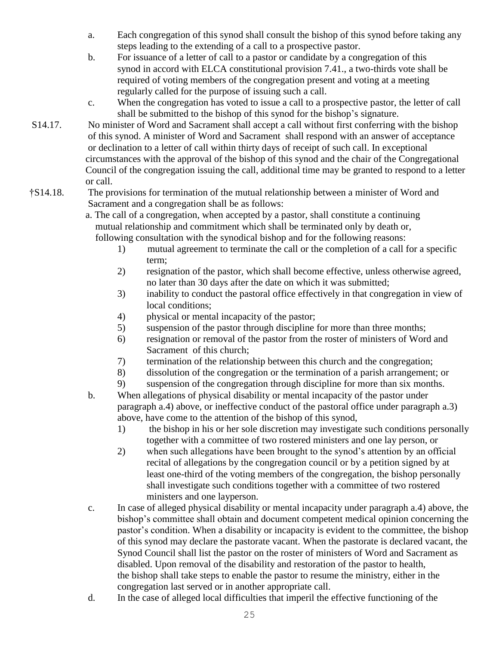- a. Each congregation of this synod shall consult the bishop of this synod before taking any steps leading to the extending of a call to a prospective pastor.
- b. For issuance of a letter of call to a pastor or candidate by a congregation of this synod in accord with ELCA constitutional provision 7.41., a two-thirds vote shall be required of voting members of the congregation present and voting at a meeting regularly called for the purpose of issuing such a call.
- c. When the congregation has voted to issue a call to a prospective pastor, the letter of call shall be submitted to the bishop of this synod for the bishop's signature.
- S14.17. No minister of Word and Sacrament shall accept a call without first conferring with the bishop of this synod. A minister of Word and Sacrament shall respond with an answer of acceptance or declination to a letter of call within thirty days of receipt of such call. In exceptional circumstances with the approval of the bishop of this synod and the chair of the Congregational Council of the congregation issuing the call, additional time may be granted to respond to a letter or call.
- †S14.18. The provisions for termination of the mutual relationship between a minister of Word and Sacrament and a congregation shall be as follows:
	- a. The call of a congregation, when accepted by a pastor, shall constitute a continuing mutual relationship and commitment which shall be terminated only by death or, following consultation with the synodical bishop and for the following reasons:
		- 1) mutual agreement to terminate the call or the completion of a call for a specific term;
		- 2) resignation of the pastor, which shall become effective, unless otherwise agreed, no later than 30 days after the date on which it was submitted;
		- 3) inability to conduct the pastoral office effectively in that congregation in view of local conditions;
		- 4) physical or mental incapacity of the pastor;
		- 5) suspension of the pastor through discipline for more than three months;
		- 6) resignation or removal of the pastor from the roster of ministers of Word and Sacrament of this church;
		- 7) termination of the relationship between this church and the congregation;
		- 8) dissolution of the congregation or the termination of a parish arrangement; or
		- 9) suspension of the congregation through discipline for more than six months.
	- b. When allegations of physical disability or mental incapacity of the pastor under paragraph a.4) above, or ineffective conduct of the pastoral office under paragraph a.3) above, have come to the attention of the bishop of this synod,
		- 1) the bishop in his or her sole discretion may investigate such conditions personally together with a committee of two rostered ministers and one lay person, or
		- 2) when such allegations have been brought to the synod's attention by an official recital of allegations by the congregation council or by a petition signed by at least one-third of the voting members of the congregation, the bishop personally shall investigate such conditions together with a committee of two rostered ministers and one layperson.
	- c. In case of alleged physical disability or mental incapacity under paragraph a.4) above, the bishop's committee shall obtain and document competent medical opinion concerning the pastor's condition. When a disability or incapacity is evident to the committee, the bishop of this synod may declare the pastorate vacant. When the pastorate is declared vacant, the Synod Council shall list the pastor on the roster of ministers of Word and Sacrament as disabled. Upon removal of the disability and restoration of the pastor to health, the bishop shall take steps to enable the pastor to resume the ministry, either in the congregation last served or in another appropriate call.
	- d. In the case of alleged local difficulties that imperil the effective functioning of the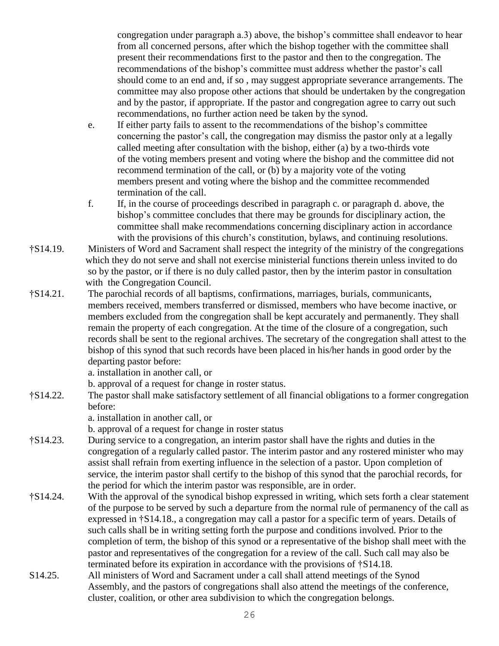congregation under paragraph a.3) above, the bishop's committee shall endeavor to hear from all concerned persons, after which the bishop together with the committee shall present their recommendations first to the pastor and then to the congregation. The recommendations of the bishop's committee must address whether the pastor's call should come to an end and, if so , may suggest appropriate severance arrangements. The committee may also propose other actions that should be undertaken by the congregation and by the pastor, if appropriate. If the pastor and congregation agree to carry out such recommendations, no further action need be taken by the synod.

- e. If either party fails to assent to the recommendations of the bishop's committee concerning the pastor's call, the congregation may dismiss the pastor only at a legally called meeting after consultation with the bishop, either (a) by a two-thirds vote of the voting members present and voting where the bishop and the committee did not recommend termination of the call, or (b) by a majority vote of the voting members present and voting where the bishop and the committee recommended termination of the call.
- f. If, in the course of proceedings described in paragraph c. or paragraph d. above, the bishop's committee concludes that there may be grounds for disciplinary action, the committee shall make recommendations concerning disciplinary action in accordance with the provisions of this church's constitution, bylaws, and continuing resolutions.
- †S14.19. Ministers of Word and Sacrament shall respect the integrity of the ministry of the congregations which they do not serve and shall not exercise ministerial functions therein unless invited to do so by the pastor, or if there is no duly called pastor, then by the interim pastor in consultation with the Congregation Council.
- †S14.21. The parochial records of all baptisms, confirmations, marriages, burials, communicants, members received, members transferred or dismissed, members who have become inactive, or members excluded from the congregation shall be kept accurately and permanently. They shall remain the property of each congregation. At the time of the closure of a congregation, such records shall be sent to the regional archives. The secretary of the congregation shall attest to the bishop of this synod that such records have been placed in his/her hands in good order by the departing pastor before:

a. installation in another call, or

b. approval of a request for change in roster status.

†S14.22. The pastor shall make satisfactory settlement of all financial obligations to a former congregation before:

a. installation in another call, or

b. approval of a request for change in roster status

- †S14.23. During service to a congregation, an interim pastor shall have the rights and duties in the congregation of a regularly called pastor. The interim pastor and any rostered minister who may assist shall refrain from exerting influence in the selection of a pastor. Upon completion of service, the interim pastor shall certify to the bishop of this synod that the parochial records, for the period for which the interim pastor was responsible, are in order.
- †S14.24. With the approval of the synodical bishop expressed in writing, which sets forth a clear statement of the purpose to be served by such a departure from the normal rule of permanency of the call as expressed in †S14.18., a congregation may call a pastor for a specific term of years. Details of such calls shall be in writing setting forth the purpose and conditions involved. Prior to the completion of term, the bishop of this synod or a representative of the bishop shall meet with the pastor and representatives of the congregation for a review of the call. Such call may also be terminated before its expiration in accordance with the provisions of †S14.18.
- S14.25. All ministers of Word and Sacrament under a call shall attend meetings of the Synod Assembly, and the pastors of congregations shall also attend the meetings of the conference, cluster, coalition, or other area subdivision to which the congregation belongs.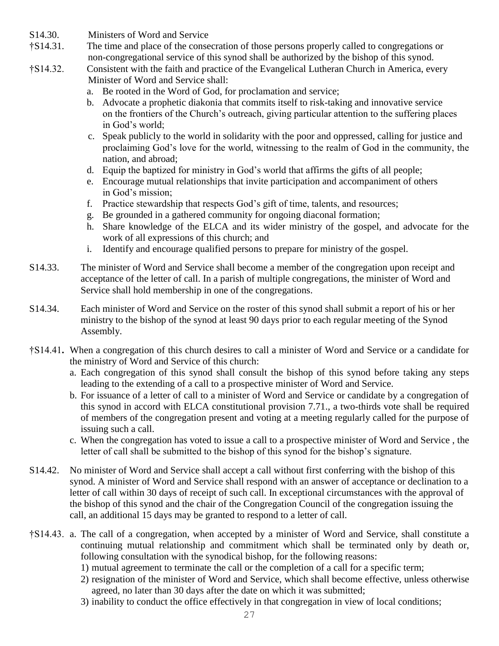- S14.30. Ministers of Word and Service
- †S14.31. The time and place of the consecration of those persons properly called to congregations or non-congregational service of this synod shall be authorized by the bishop of this synod.
- †S14.32. Consistent with the faith and practice of the Evangelical Lutheran Church in America, every Minister of Word and Service shall:
	- a. Be rooted in the Word of God, for proclamation and service;
	- b. Advocate a prophetic diakonia that commits itself to risk-taking and innovative service on the frontiers of the Church's outreach, giving particular attention to the suffering places in God's world;
	- c. Speak publicly to the world in solidarity with the poor and oppressed, calling for justice and proclaiming God's love for the world, witnessing to the realm of God in the community, the nation, and abroad;
	- d. Equip the baptized for ministry in God's world that affirms the gifts of all people;
	- e. Encourage mutual relationships that invite participation and accompaniment of others in God's mission;
	- f. Practice stewardship that respects God's gift of time, talents, and resources;
	- g. Be grounded in a gathered community for ongoing diaconal formation;
	- h. Share knowledge of the ELCA and its wider ministry of the gospel, and advocate for the work of all expressions of this church; and
	- i. Identify and encourage qualified persons to prepare for ministry of the gospel.
- S14.33. The minister of Word and Service shall become a member of the congregation upon receipt and acceptance of the letter of call. In a parish of multiple congregations, the minister of Word and Service shall hold membership in one of the congregations.
- S14.34. Each minister of Word and Service on the roster of this synod shall submit a report of his or her ministry to the bishop of the synod at least 90 days prior to each regular meeting of the Synod Assembly.
- †S14.41**.** When a congregation of this church desires to call a minister of Word and Service or a candidate for the ministry of Word and Service of this church:
	- a. Each congregation of this synod shall consult the bishop of this synod before taking any steps leading to the extending of a call to a prospective minister of Word and Service.
	- b. For issuance of a letter of call to a minister of Word and Service or candidate by a congregation of this synod in accord with ELCA constitutional provision 7.71., a two-thirds vote shall be required of members of the congregation present and voting at a meeting regularly called for the purpose of issuing such a call.
	- c. When the congregation has voted to issue a call to a prospective minister of Word and Service , the letter of call shall be submitted to the bishop of this synod for the bishop's signature.
- S14.42. No minister of Word and Service shall accept a call without first conferring with the bishop of this synod. A minister of Word and Service shall respond with an answer of acceptance or declination to a letter of call within 30 days of receipt of such call. In exceptional circumstances with the approval of the bishop of this synod and the chair of the Congregation Council of the congregation issuing the call, an additional 15 days may be granted to respond to a letter of call.
- †S14.43. a. The call of a congregation, when accepted by a minister of Word and Service, shall constitute a continuing mutual relationship and commitment which shall be terminated only by death or, following consultation with the synodical bishop, for the following reasons:
	- 1) mutual agreement to terminate the call or the completion of a call for a specific term;
	- 2) resignation of the minister of Word and Service, which shall become effective, unless otherwise agreed, no later than 30 days after the date on which it was submitted;
	- 3) inability to conduct the office effectively in that congregation in view of local conditions;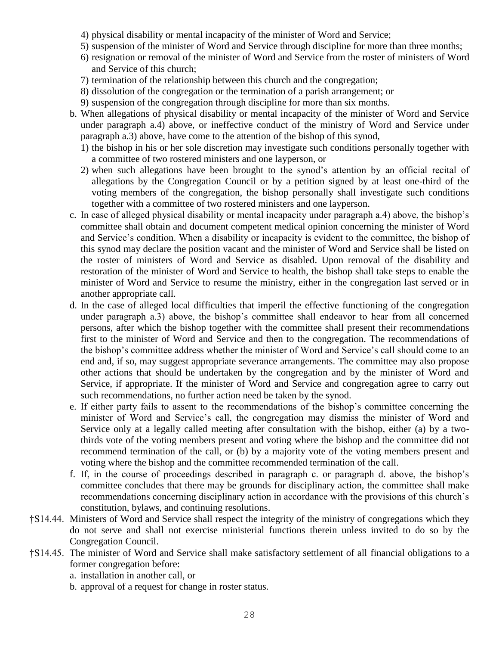- 4) physical disability or mental incapacity of the minister of Word and Service;
- 5) suspension of the minister of Word and Service through discipline for more than three months;
- 6) resignation or removal of the minister of Word and Service from the roster of ministers of Word and Service of this church;
- 7) termination of the relationship between this church and the congregation;
- 8) dissolution of the congregation or the termination of a parish arrangement; or
- 9) suspension of the congregation through discipline for more than six months.
- b. When allegations of physical disability or mental incapacity of the minister of Word and Service under paragraph a.4) above, or ineffective conduct of the ministry of Word and Service under paragraph a.3) above, have come to the attention of the bishop of this synod,
	- 1) the bishop in his or her sole discretion may investigate such conditions personally together with a committee of two rostered ministers and one layperson, or
	- 2) when such allegations have been brought to the synod's attention by an official recital of allegations by the Congregation Council or by a petition signed by at least one-third of the voting members of the congregation, the bishop personally shall investigate such conditions together with a committee of two rostered ministers and one layperson.
- c. In case of alleged physical disability or mental incapacity under paragraph a.4) above, the bishop's committee shall obtain and document competent medical opinion concerning the minister of Word and Service's condition. When a disability or incapacity is evident to the committee, the bishop of this synod may declare the position vacant and the minister of Word and Service shall be listed on the roster of ministers of Word and Service as disabled. Upon removal of the disability and restoration of the minister of Word and Service to health, the bishop shall take steps to enable the minister of Word and Service to resume the ministry, either in the congregation last served or in another appropriate call.
- d. In the case of alleged local difficulties that imperil the effective functioning of the congregation under paragraph a.3) above, the bishop's committee shall endeavor to hear from all concerned persons, after which the bishop together with the committee shall present their recommendations first to the minister of Word and Service and then to the congregation. The recommendations of the bishop's committee address whether the minister of Word and Service's call should come to an end and, if so, may suggest appropriate severance arrangements. The committee may also propose other actions that should be undertaken by the congregation and by the minister of Word and Service, if appropriate. If the minister of Word and Service and congregation agree to carry out such recommendations, no further action need be taken by the synod.
- e. If either party fails to assent to the recommendations of the bishop's committee concerning the minister of Word and Service's call, the congregation may dismiss the minister of Word and Service only at a legally called meeting after consultation with the bishop, either (a) by a twothirds vote of the voting members present and voting where the bishop and the committee did not recommend termination of the call, or (b) by a majority vote of the voting members present and voting where the bishop and the committee recommended termination of the call.
- f. If, in the course of proceedings described in paragraph c. or paragraph d. above, the bishop's committee concludes that there may be grounds for disciplinary action, the committee shall make recommendations concerning disciplinary action in accordance with the provisions of this church's constitution, bylaws, and continuing resolutions.
- †S14.44. Ministers of Word and Service shall respect the integrity of the ministry of congregations which they do not serve and shall not exercise ministerial functions therein unless invited to do so by the Congregation Council.
- †S14.45. The minister of Word and Service shall make satisfactory settlement of all financial obligations to a former congregation before:

a. installation in another call, or

b. approval of a request for change in roster status.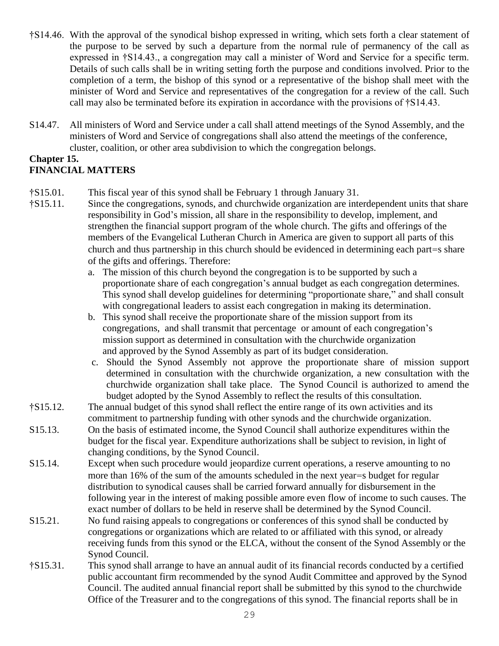- †S14.46. With the approval of the synodical bishop expressed in writing, which sets forth a clear statement of the purpose to be served by such a departure from the normal rule of permanency of the call as expressed in †S14.43., a congregation may call a minister of Word and Service for a specific term. Details of such calls shall be in writing setting forth the purpose and conditions involved. Prior to the completion of a term, the bishop of this synod or a representative of the bishop shall meet with the minister of Word and Service and representatives of the congregation for a review of the call. Such call may also be terminated before its expiration in accordance with the provisions of †S14.43.
- S14.47. All ministers of Word and Service under a call shall attend meetings of the Synod Assembly, and the ministers of Word and Service of congregations shall also attend the meetings of the conference, cluster, coalition, or other area subdivision to which the congregation belongs.

## **Chapter 15. FINANCIAL MATTERS**

- †S15.01. This fiscal year of this synod shall be February 1 through January 31.
- †S15.11. Since the congregations, synods, and churchwide organization are interdependent units that share responsibility in God's mission, all share in the responsibility to develop, implement, and strengthen the financial support program of the whole church. The gifts and offerings of the members of the Evangelical Lutheran Church in America are given to support all parts of this church and thus partnership in this church should be evidenced in determining each part=s share of the gifts and offerings. Therefore:
	- a. The mission of this church beyond the congregation is to be supported by such a proportionate share of each congregation's annual budget as each congregation determines. This synod shall develop guidelines for determining "proportionate share," and shall consult with congregational leaders to assist each congregation in making its determination.
	- b. This synod shall receive the proportionate share of the mission support from its congregations, and shall transmit that percentage or amount of each congregation's mission support as determined in consultation with the churchwide organization and approved by the Synod Assembly as part of its budget consideration.
	- c. Should the Synod Assembly not approve the proportionate share of mission support determined in consultation with the churchwide organization, a new consultation with the churchwide organization shall take place. The Synod Council is authorized to amend the budget adopted by the Synod Assembly to reflect the results of this consultation.
- †S15.12. The annual budget of this synod shall reflect the entire range of its own activities and its commitment to partnership funding with other synods and the churchwide organization.
- S15.13. On the basis of estimated income, the Synod Council shall authorize expenditures within the budget for the fiscal year. Expenditure authorizations shall be subject to revision, in light of changing conditions, by the Synod Council.
- S15.14. Except when such procedure would jeopardize current operations, a reserve amounting to no more than 16% of the sum of the amounts scheduled in the next year=s budget for regular distribution to synodical causes shall be carried forward annually for disbursement in the following year in the interest of making possible amore even flow of income to such causes. The exact number of dollars to be held in reserve shall be determined by the Synod Council.
- S15.21. No fund raising appeals to congregations or conferences of this synod shall be conducted by congregations or organizations which are related to or affiliated with this synod, or already receiving funds from this synod or the ELCA, without the consent of the Synod Assembly or the Synod Council.
- †S15.31. This synod shall arrange to have an annual audit of its financial records conducted by a certified public accountant firm recommended by the synod Audit Committee and approved by the Synod Council. The audited annual financial report shall be submitted by this synod to the churchwide Office of the Treasurer and to the congregations of this synod. The financial reports shall be in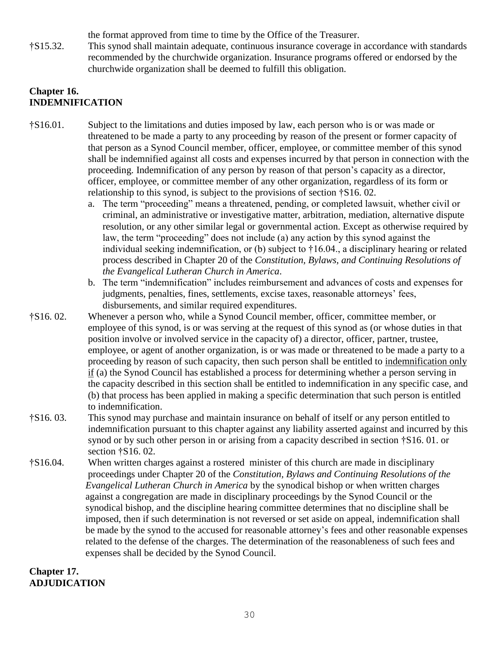the format approved from time to time by the Office of the Treasurer.

†S15.32. This synod shall maintain adequate, continuous insurance coverage in accordance with standards recommended by the churchwide organization. Insurance programs offered or endorsed by the churchwide organization shall be deemed to fulfill this obligation.

## **Chapter 16. INDEMNIFICATION**

- †S16.01. Subject to the limitations and duties imposed by law, each person who is or was made or threatened to be made a party to any proceeding by reason of the present or former capacity of that person as a Synod Council member, officer, employee, or committee member of this synod shall be indemnified against all costs and expenses incurred by that person in connection with the proceeding. Indemnification of any person by reason of that person's capacity as a director, officer, employee, or committee member of any other organization, regardless of its form or relationship to this synod, is subject to the provisions of section †S16. 02.
	- a. The term "proceeding" means a threatened, pending, or completed lawsuit, whether civil or criminal, an administrative or investigative matter, arbitration, mediation, alternative dispute resolution, or any other similar legal or governmental action. Except as otherwise required by law, the term "proceeding" does not include (a) any action by this synod against the individual seeking indemnification, or (b) subject to †16.04., a disciplinary hearing or related process described in Chapter 20 of the *Constitution, Bylaws, and Continuing Resolutions of the Evangelical Lutheran Church in America*.
	- b. The term "indemnification" includes reimbursement and advances of costs and expenses for judgments, penalties, fines, settlements, excise taxes, reasonable attorneys' fees, disbursements, and similar required expenditures.
- †S16. 02. Whenever a person who, while a Synod Council member, officer, committee member, or employee of this synod, is or was serving at the request of this synod as (or whose duties in that position involve or involved service in the capacity of) a director, officer, partner, trustee, employee, or agent of another organization, is or was made or threatened to be made a party to a proceeding by reason of such capacity, then such person shall be entitled to indemnification only if (a) the Synod Council has established a process for determining whether a person serving in the capacity described in this section shall be entitled to indemnification in any specific case, and (b) that process has been applied in making a specific determination that such person is entitled to indemnification.
- †S16. 03. This synod may purchase and maintain insurance on behalf of itself or any person entitled to indemnification pursuant to this chapter against any liability asserted against and incurred by this synod or by such other person in or arising from a capacity described in section †S16. 01. or section †S16. 02.
- †S16.04. When written charges against a rostered minister of this church are made in disciplinary proceedings under Chapter 20 of the *Constitution, Bylaws and Continuing Resolutions of the Evangelical Lutheran Church in America* by the synodical bishop or when written charges against a congregation are made in disciplinary proceedings by the Synod Council or the synodical bishop, and the discipline hearing committee determines that no discipline shall be imposed, then if such determination is not reversed or set aside on appeal, indemnification shall be made by the synod to the accused for reasonable attorney's fees and other reasonable expenses related to the defense of the charges. The determination of the reasonableness of such fees and expenses shall be decided by the Synod Council.

**Chapter 17. ADJUDICATION**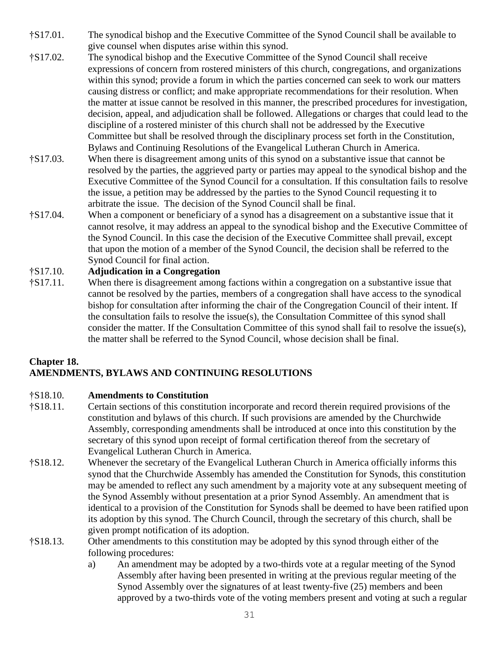- †S17.01. The synodical bishop and the Executive Committee of the Synod Council shall be available to give counsel when disputes arise within this synod.
- †S17.02. The synodical bishop and the Executive Committee of the Synod Council shall receive expressions of concern from rostered ministers of this church, congregations, and organizations within this synod; provide a forum in which the parties concerned can seek to work our matters causing distress or conflict; and make appropriate recommendations for their resolution. When the matter at issue cannot be resolved in this manner, the prescribed procedures for investigation, decision, appeal, and adjudication shall be followed. Allegations or charges that could lead to the discipline of a rostered minister of this church shall not be addressed by the Executive Committee but shall be resolved through the disciplinary process set forth in the Constitution, Bylaws and Continuing Resolutions of the Evangelical Lutheran Church in America.
- †S17.03. When there is disagreement among units of this synod on a substantive issue that cannot be resolved by the parties, the aggrieved party or parties may appeal to the synodical bishop and the Executive Committee of the Synod Council for a consultation. If this consultation fails to resolve the issue, a petition may be addressed by the parties to the Synod Council requesting it to arbitrate the issue. The decision of the Synod Council shall be final.
- †S17.04. When a component or beneficiary of a synod has a disagreement on a substantive issue that it cannot resolve, it may address an appeal to the synodical bishop and the Executive Committee of the Synod Council. In this case the decision of the Executive Committee shall prevail, except that upon the motion of a member of the Synod Council, the decision shall be referred to the Synod Council for final action.

## †S17.10. **Adjudication in a Congregation**

†S17.11. When there is disagreement among factions within a congregation on a substantive issue that cannot be resolved by the parties, members of a congregation shall have access to the synodical bishop for consultation after informing the chair of the Congregation Council of their intent. If the consultation fails to resolve the issue(s), the Consultation Committee of this synod shall consider the matter. If the Consultation Committee of this synod shall fail to resolve the issue(s), the matter shall be referred to the Synod Council, whose decision shall be final.

## **Chapter 18. AMENDMENTS, BYLAWS AND CONTINUING RESOLUTIONS**

## †S18.10. **Amendments to Constitution**

- †S18.11. Certain sections of this constitution incorporate and record therein required provisions of the constitution and bylaws of this church. If such provisions are amended by the Churchwide Assembly, corresponding amendments shall be introduced at once into this constitution by the secretary of this synod upon receipt of formal certification thereof from the secretary of Evangelical Lutheran Church in America.
- †S18.12. Whenever the secretary of the Evangelical Lutheran Church in America officially informs this synod that the Churchwide Assembly has amended the Constitution for Synods, this constitution may be amended to reflect any such amendment by a majority vote at any subsequent meeting of the Synod Assembly without presentation at a prior Synod Assembly. An amendment that is identical to a provision of the Constitution for Synods shall be deemed to have been ratified upon its adoption by this synod. The Church Council, through the secretary of this church, shall be given prompt notification of its adoption.
- †S18.13. Other amendments to this constitution may be adopted by this synod through either of the following procedures:
	- a) An amendment may be adopted by a two-thirds vote at a regular meeting of the Synod Assembly after having been presented in writing at the previous regular meeting of the Synod Assembly over the signatures of at least twenty-five (25) members and been approved by a two-thirds vote of the voting members present and voting at such a regular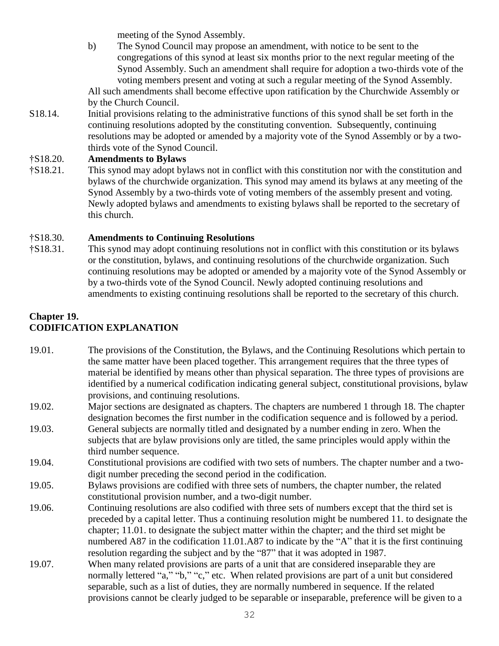meeting of the Synod Assembly.

b) The Synod Council may propose an amendment, with notice to be sent to the congregations of this synod at least six months prior to the next regular meeting of the Synod Assembly. Such an amendment shall require for adoption a two-thirds vote of the voting members present and voting at such a regular meeting of the Synod Assembly.

All such amendments shall become effective upon ratification by the Churchwide Assembly or by the Church Council.

S18.14. Initial provisions relating to the administrative functions of this synod shall be set forth in the continuing resolutions adopted by the constituting convention. Subsequently, continuing resolutions may be adopted or amended by a majority vote of the Synod Assembly or by a twothirds vote of the Synod Council.

#### †S18.20. **Amendments to Bylaws**

†S18.21. This synod may adopt bylaws not in conflict with this constitution nor with the constitution and bylaws of the churchwide organization. This synod may amend its bylaws at any meeting of the Synod Assembly by a two-thirds vote of voting members of the assembly present and voting. Newly adopted bylaws and amendments to existing bylaws shall be reported to the secretary of this church.

## †S18.30. **Amendments to Continuing Resolutions**

†S18.31. This synod may adopt continuing resolutions not in conflict with this constitution or its bylaws or the constitution, bylaws, and continuing resolutions of the churchwide organization. Such continuing resolutions may be adopted or amended by a majority vote of the Synod Assembly or by a two-thirds vote of the Synod Council. Newly adopted continuing resolutions and amendments to existing continuing resolutions shall be reported to the secretary of this church.

# **Chapter 19. CODIFICATION EXPLANATION**

- 19.01. The provisions of the Constitution, the Bylaws, and the Continuing Resolutions which pertain to the same matter have been placed together. This arrangement requires that the three types of material be identified by means other than physical separation. The three types of provisions are identified by a numerical codification indicating general subject, constitutional provisions, bylaw provisions, and continuing resolutions.
- 19.02. Major sections are designated as chapters. The chapters are numbered 1 through 18. The chapter designation becomes the first number in the codification sequence and is followed by a period.
- 19.03. General subjects are normally titled and designated by a number ending in zero. When the subjects that are bylaw provisions only are titled, the same principles would apply within the third number sequence.
- 19.04. Constitutional provisions are codified with two sets of numbers. The chapter number and a twodigit number preceding the second period in the codification.
- 19.05. Bylaws provisions are codified with three sets of numbers, the chapter number, the related constitutional provision number, and a two-digit number.
- 19.06. Continuing resolutions are also codified with three sets of numbers except that the third set is preceded by a capital letter. Thus a continuing resolution might be numbered 11. to designate the chapter; 11.01. to designate the subject matter within the chapter; and the third set might be numbered A87 in the codification 11.01.A87 to indicate by the "A" that it is the first continuing resolution regarding the subject and by the "87" that it was adopted in 1987.
- 19.07. When many related provisions are parts of a unit that are considered inseparable they are normally lettered "a," "b," "c," etc. When related provisions are part of a unit but considered separable, such as a list of duties, they are normally numbered in sequence. If the related provisions cannot be clearly judged to be separable or inseparable, preference will be given to a